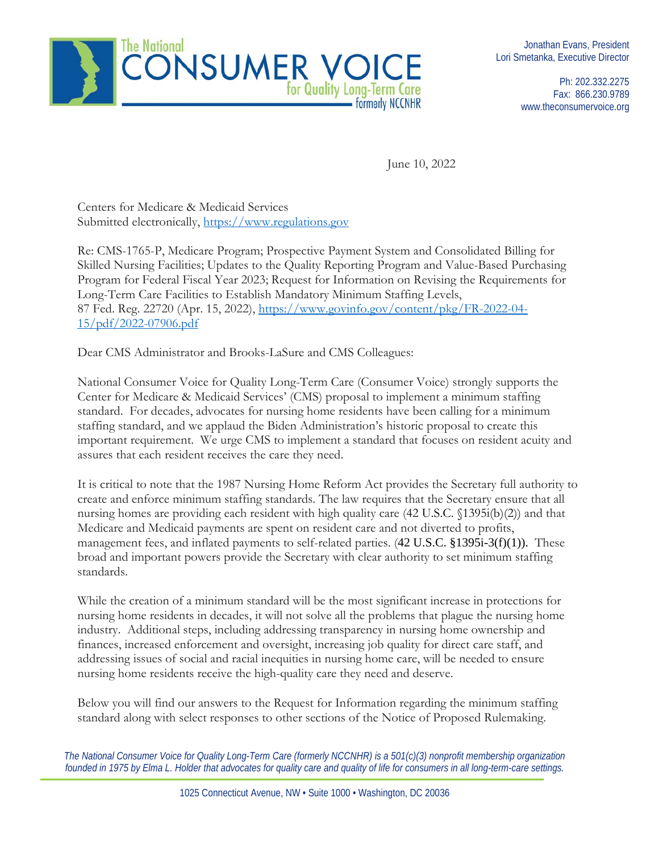

Ph: 202.332.2275 Fax: 866.230.9789 www.theconsumervoice.org

June 10, 2022

Centers for Medicare & Medicaid Services Submitted electronically, [https://www.regulations.gov](https://www.regulations.gov/)

Re: CMS-1765-P, Medicare Program; Prospective Payment System and Consolidated Billing for Skilled Nursing Facilities; Updates to the Quality Reporting Program and Value-Based Purchasing Program for Federal Fiscal Year 2023; Request for Information on Revising the Requirements for Long-Term Care Facilities to Establish Mandatory Minimum Staffing Levels, 87 Fed. Reg. 22720 (Apr. 15, 2022), [https://www.govinfo.gov/content/pkg/FR-2022-04-](https://www.govinfo.gov/content/pkg/FR-2022-04-15/pdf/2022-07906.pdf) [15/pdf/2022-07906.pdf](https://www.govinfo.gov/content/pkg/FR-2022-04-15/pdf/2022-07906.pdf) 

Dear CMS Administrator and Brooks-LaSure and CMS Colleagues:

National Consumer Voice for Quality Long-Term Care (Consumer Voice) strongly supports the Center for Medicare & Medicaid Services' (CMS) proposal to implement a minimum staffing standard. For decades, advocates for nursing home residents have been calling for a minimum staffing standard, and we applaud the Biden Administration's historic proposal to create this important requirement. We urge CMS to implement a standard that focuses on resident acuity and assures that each resident receives the care they need.

It is critical to note that the 1987 Nursing Home Reform Act provides the Secretary full authority to create and enforce minimum staffing standards. The law requires that the Secretary ensure that all nursing homes are providing each resident with high quality care (42 U.S.C. §1395i(b)(2)) and that Medicare and Medicaid payments are spent on resident care and not diverted to profits, management fees, and inflated payments to self-related parties. (42 U.S.C. §1395i-3(f)(1)). These broad and important powers provide the Secretary with clear authority to set minimum staffing standards.

While the creation of a minimum standard will be the most significant increase in protections for nursing home residents in decades, it will not solve all the problems that plague the nursing home industry. Additional steps, including addressing transparency in nursing home ownership and finances, increased enforcement and oversight, increasing job quality for direct care staff, and addressing issues of social and racial inequities in nursing home care, will be needed to ensure nursing home residents receive the high-quality care they need and deserve.

Below you will find our answers to the Request for Information regarding the minimum staffing standard along with select responses to other sections of the Notice of Proposed Rulemaking.

*The National Consumer Voice for Quality Long-Term Care (formerly NCCNHR) is a 501(c)(3) nonprofit membership organization founded in 1975 by Elma L. Holder that advocates for quality care and quality of life for consumers in all long-term-care settings.*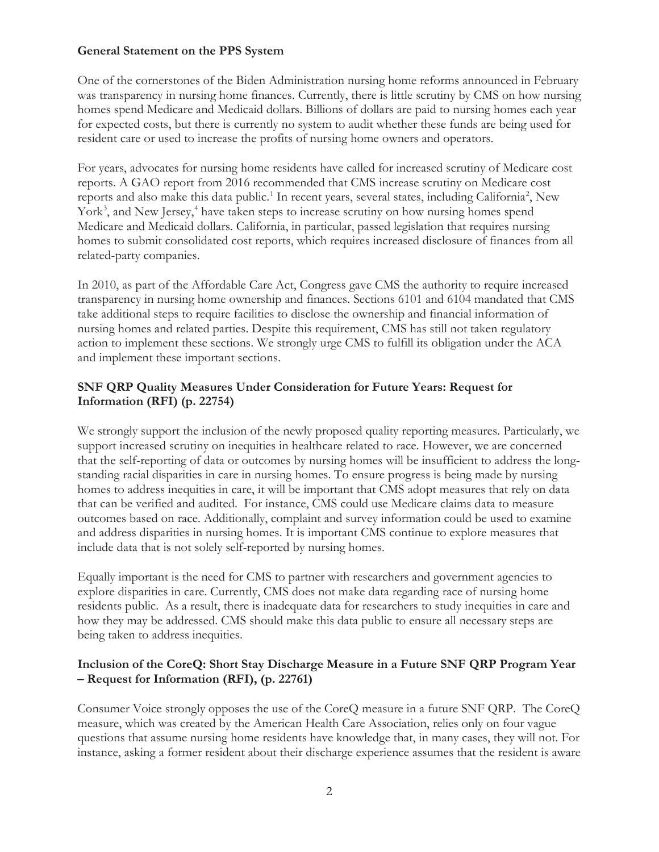#### **General Statement on the PPS System**

One of the cornerstones of the Biden Administration nursing home reforms announced in February was transparency in nursing home finances. Currently, there is little scrutiny by CMS on how nursing homes spend Medicare and Medicaid dollars. Billions of dollars are paid to nursing homes each year for expected costs, but there is currently no system to audit whether these funds are being used for resident care or used to increase the profits of nursing home owners and operators.

For years, advocates for nursing home residents have called for increased scrutiny of Medicare cost reports. A GAO report from 2016 recommended that CMS increase scrutiny on Medicare cost reports and also make this data public.<sup>[1](#page-18-0)</sup> In recent years, several states, including California<sup>[2](#page-18-1)</sup>, New York<sup>[3](#page-18-2)</sup>, and New Jersey,<sup>[4](#page-18-3)</sup> have taken steps to increase scrutiny on how nursing homes spend Medicare and Medicaid dollars. California, in particular, passed legislation that requires nursing homes to submit consolidated cost reports, which requires increased disclosure of finances from all related-party companies.

In 2010, as part of the Affordable Care Act, Congress gave CMS the authority to require increased transparency in nursing home ownership and finances. Sections 6101 and 6104 mandated that CMS take additional steps to require facilities to disclose the ownership and financial information of nursing homes and related parties. Despite this requirement, CMS has still not taken regulatory action to implement these sections. We strongly urge CMS to fulfill its obligation under the ACA and implement these important sections.

# **SNF QRP Quality Measures Under Consideration for Future Years: Request for Information (RFI) (p. 22754)**

We strongly support the inclusion of the newly proposed quality reporting measures. Particularly, we support increased scrutiny on inequities in healthcare related to race. However, we are concerned that the self-reporting of data or outcomes by nursing homes will be insufficient to address the longstanding racial disparities in care in nursing homes. To ensure progress is being made by nursing homes to address inequities in care, it will be important that CMS adopt measures that rely on data that can be verified and audited. For instance, CMS could use Medicare claims data to measure outcomes based on race. Additionally, complaint and survey information could be used to examine and address disparities in nursing homes. It is important CMS continue to explore measures that include data that is not solely self-reported by nursing homes.

Equally important is the need for CMS to partner with researchers and government agencies to explore disparities in care. Currently, CMS does not make data regarding race of nursing home residents public. As a result, there is inadequate data for researchers to study inequities in care and how they may be addressed. CMS should make this data public to ensure all necessary steps are being taken to address inequities.

# **Inclusion of the CoreQ: Short Stay Discharge Measure in a Future SNF QRP Program Year – Request for Information (RFI), (p. 22761)**

Consumer Voice strongly opposes the use of the CoreQ measure in a future SNF QRP. The CoreQ measure, which was created by the American Health Care Association, relies only on four vague questions that assume nursing home residents have knowledge that, in many cases, they will not. For instance, asking a former resident about their discharge experience assumes that the resident is aware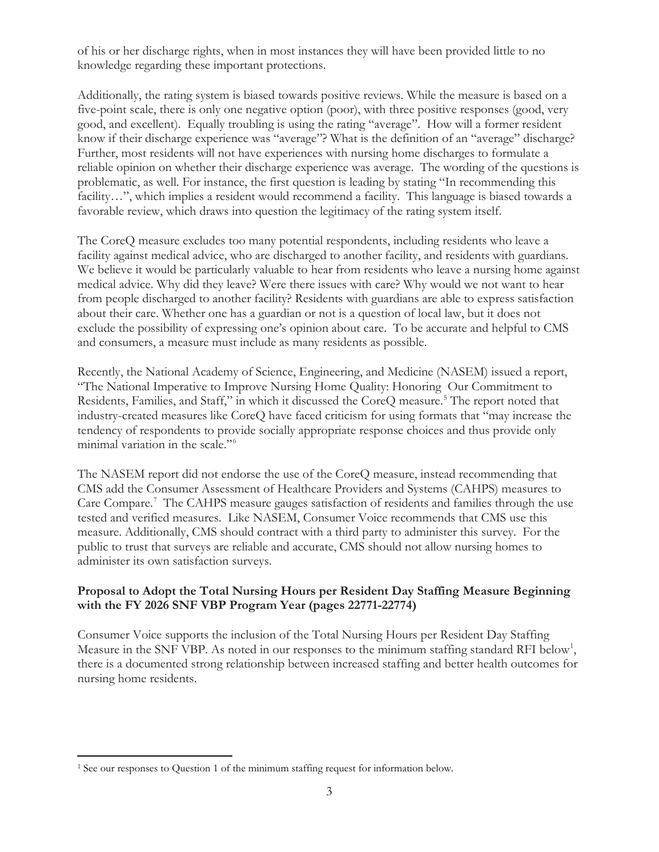of his or her discharge rights, when in most instances they will have been provided little to no knowledge regarding these important protections.

Additionally, the rating system is biased towards positive reviews. While the measure is based on a five-point scale, there is only one negative option (poor), with three positive responses (good, very good, and excellent). Equally troubling is using the rating "average". How will a former resident know if their discharge experience was "average"? What is the definition of an "average" discharge? Further, most residents will not have experiences with nursing home discharges to formulate a reliable opinion on whether their discharge experience was average. The wording of the questions is problematic, as well. For instance, the first question is leading by stating "In recommending this facility…", which implies a resident would recommend a facility. This language is biased towards a favorable review, which draws into question the legitimacy of the rating system itself.

The CoreQ measure excludes too many potential respondents, including residents who leave a facility against medical advice, who are discharged to another facility, and residents with guardians. We believe it would be particularly valuable to hear from residents who leave a nursing home against medical advice. Why did they leave? Were there issues with care? Why would we not want to hear from people discharged to another facility? Residents with guardians are able to express satisfaction about their care. Whether one has a guardian or not is a question of local law, but it does not exclude the possibility of expressing one's opinion about care. To be accurate and helpful to CMS and consumers, a measure must include as many residents as possible.

Recently, the National Academy of Science, Engineering, and Medicine (NASEM) issued a report, "The National Imperative to Improve Nursing Home Quality: Honoring Our Commitment to Residents, Families, and Staff," in which it discussed the CoreQ measure.<sup>[5](#page-18-4)</sup> The report noted that industry-created measures like CoreQ have faced criticism for using formats that "may increase the tendency of respondents to provide socially appropriate response choices and thus provide only minimal variation in the scale."[6](#page-18-5)

The NASEM report did not endorse the use of the CoreQ measure, instead recommending that CMS add the Consumer Assessment of Healthcare Providers and Systems (CAHPS) measures to Care Compare.<sup>[7](#page-18-6)</sup> The CAHPS measure gauges satisfaction of residents and families through the use tested and verified measures. Like NASEM, Consumer Voice recommends that CMS use this measure. Additionally, CMS should contract with a third party to administer this survey. For the public to trust that surveys are reliable and accurate, CMS should not allow nursing homes to administer its own satisfaction surveys.

# **Proposal to Adopt the Total Nursing Hours per Resident Day Staffing Measure Beginning with the FY 2026 SNF VBP Program Year (pages 22771-22774)**

Consumer Voice supports the inclusion of the Total Nursing Hours per Resident Day Staffing Measure in the SNF VBP. As noted in our responses to the minimum staffing standard RFI below<sup>[1](#page-2-0)</sup>, there is a documented strong relationship between increased staffing and better health outcomes for nursing home residents.

<span id="page-2-0"></span><sup>&</sup>lt;sup>1</sup> See our responses to Question 1 of the minimum staffing request for information below.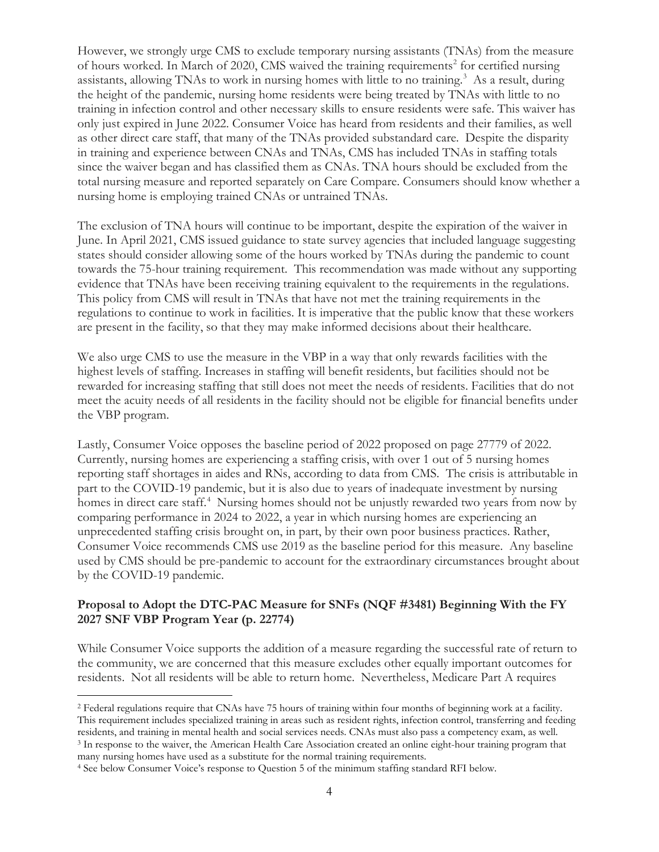However, we strongly urge CMS to exclude temporary nursing assistants (TNAs) from the measure of hours worked. In March of [2](#page-3-0)020, CMS waived the training requirements<sup>2</sup> for certified nursing assistants, allowing TNAs to work in nursing homes with little to no training.<sup>[3](#page-3-1)</sup> As a result, during the height of the pandemic, nursing home residents were being treated by TNAs with little to no training in infection control and other necessary skills to ensure residents were safe. This waiver has only just expired in June 2022. Consumer Voice has heard from residents and their families, as well as other direct care staff, that many of the TNAs provided substandard care. Despite the disparity in training and experience between CNAs and TNAs, CMS has included TNAs in staffing totals since the waiver began and has classified them as CNAs. TNA hours should be excluded from the total nursing measure and reported separately on Care Compare. Consumers should know whether a nursing home is employing trained CNAs or untrained TNAs.

The exclusion of TNA hours will continue to be important, despite the expiration of the waiver in June. In April 2021, CMS issued guidance to state survey agencies that included language suggesting states should consider allowing some of the hours worked by TNAs during the pandemic to count towards the 75-hour training requirement. This recommendation was made without any supporting evidence that TNAs have been receiving training equivalent to the requirements in the regulations. This policy from CMS will result in TNAs that have not met the training requirements in the regulations to continue to work in facilities. It is imperative that the public know that these workers are present in the facility, so that they may make informed decisions about their healthcare.

We also urge CMS to use the measure in the VBP in a way that only rewards facilities with the highest levels of staffing. Increases in staffing will benefit residents, but facilities should not be rewarded for increasing staffing that still does not meet the needs of residents. Facilities that do not meet the acuity needs of all residents in the facility should not be eligible for financial benefits under the VBP program.

Lastly, Consumer Voice opposes the baseline period of 2022 proposed on page 27779 of 2022. Currently, nursing homes are experiencing a staffing crisis, with over 1 out of 5 nursing homes reporting staff shortages in aides and RNs, according to data from CMS. The crisis is attributable in part to the COVID-19 pandemic, but it is also due to years of inadequate investment by nursing homes in direct care staff.<sup>[4](#page-3-2)</sup> Nursing homes should not be unjustly rewarded two years from now by comparing performance in 2024 to 2022, a year in which nursing homes are experiencing an unprecedented staffing crisis brought on, in part, by their own poor business practices. Rather, Consumer Voice recommends CMS use 2019 as the baseline period for this measure. Any baseline used by CMS should be pre-pandemic to account for the extraordinary circumstances brought about by the COVID-19 pandemic.

#### **Proposal to Adopt the DTC-PAC Measure for SNFs (NQF #3481) Beginning With the FY 2027 SNF VBP Program Year (p. 22774)**

While Consumer Voice supports the addition of a measure regarding the successful rate of return to the community, we are concerned that this measure excludes other equally important outcomes for residents. Not all residents will be able to return home. Nevertheless, Medicare Part A requires

<span id="page-3-0"></span><sup>2</sup> Federal regulations require that CNAs have 75 hours of training within four months of beginning work at a facility. This requirement includes specialized training in areas such as resident rights, infection control, transferring and feeding residents, and training in mental health and social services needs. CNAs must also pass a competency exam, as well.<br><sup>3</sup> In response to the waiver, the American Health Care Association created an online eight-hour training

<span id="page-3-2"></span><span id="page-3-1"></span>many nursing homes have used as a substitute for the normal training requirements. 4 See below Consumer Voice's response to Question 5 of the minimum staffing standard RFI below.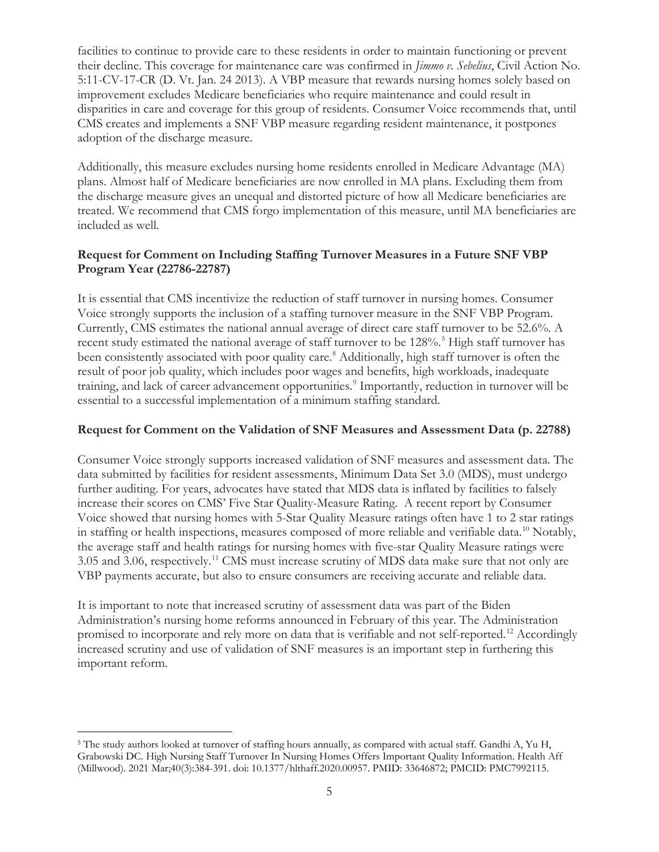facilities to continue to provide care to these residents in order to maintain functioning or prevent their decline. This coverage for maintenance care was confirmed in *Jimmo v. Sebelius*, Civil Action No. 5:11-CV-17-CR (D. Vt. Jan. 24 2013). A VBP measure that rewards nursing homes solely based on improvement excludes Medicare beneficiaries who require maintenance and could result in disparities in care and coverage for this group of residents. Consumer Voice recommends that, until CMS creates and implements a SNF VBP measure regarding resident maintenance, it postpones adoption of the discharge measure.

Additionally, this measure excludes nursing home residents enrolled in Medicare Advantage (MA) plans. Almost half of Medicare beneficiaries are now enrolled in MA plans. Excluding them from the discharge measure gives an unequal and distorted picture of how all Medicare beneficiaries are treated. We recommend that CMS forgo implementation of this measure, until MA beneficiaries are included as well.

# **Request for Comment on Including Staffing Turnover Measures in a Future SNF VBP Program Year (22786-22787)**

It is essential that CMS incentivize the reduction of staff turnover in nursing homes. Consumer Voice strongly supports the inclusion of a staffing turnover measure in the SNF VBP Program. Currently, CMS estimates the national annual average of direct care staff turnover to be 52.6%. A recent study estimated the national average of staff turnover to be 128%.<sup>[5](#page-4-0)</sup> High staff turnover has been consistently associated with poor quality care.<sup>[8](#page-19-0)</sup> Additionally, high staff turnover is often the result of poor job quality, which includes poor wages and benefits, high workloads, inadequate training, and lack of career advancement opportunities.<sup>[9](#page-19-1)</sup> Importantly, reduction in turnover will be essential to a successful implementation of a minimum staffing standard.

#### **Request for Comment on the Validation of SNF Measures and Assessment Data (p. 22788)**

Consumer Voice strongly supports increased validation of SNF measures and assessment data. The data submitted by facilities for resident assessments, Minimum Data Set 3.0 (MDS), must undergo further auditing. For years, advocates have stated that MDS data is inflated by facilities to falsely increase their scores on CMS' Five Star Quality-Measure Rating. A recent report by Consumer Voice showed that nursing homes with 5-Star Quality Measure ratings often have 1 to 2 star ratings in staffing or health inspections, measures composed of more reliable and verifiable data.<sup>10</sup> Notably, the average staff and health ratings for nursing homes with five-star Quality Measure ratings were 3.05 and 3.06, respectively.[11](#page-19-3) CMS must increase scrutiny of MDS data make sure that not only are VBP payments accurate, but also to ensure consumers are receiving accurate and reliable data.

It is important to note that increased scrutiny of assessment data was part of the Biden Administration's nursing home reforms announced in February of this year. The Administration promised to incorporate and rely more on data that is verifiable and not self-reported.<sup>[12](#page-19-4)</sup> Accordingly increased scrutiny and use of validation of SNF measures is an important step in furthering this important reform.

<span id="page-4-0"></span><sup>5</sup> The study authors looked at turnover of staffing hours annually, as compared with actual staff. Gandhi A, Yu H, Grabowski DC. High Nursing Staff Turnover In Nursing Homes Offers Important Quality Information. Health Aff (Millwood). 2021 Mar;40(3):384-391. doi: 10.1377/hlthaff.2020.00957. PMID: 33646872; PMCID: PMC7992115.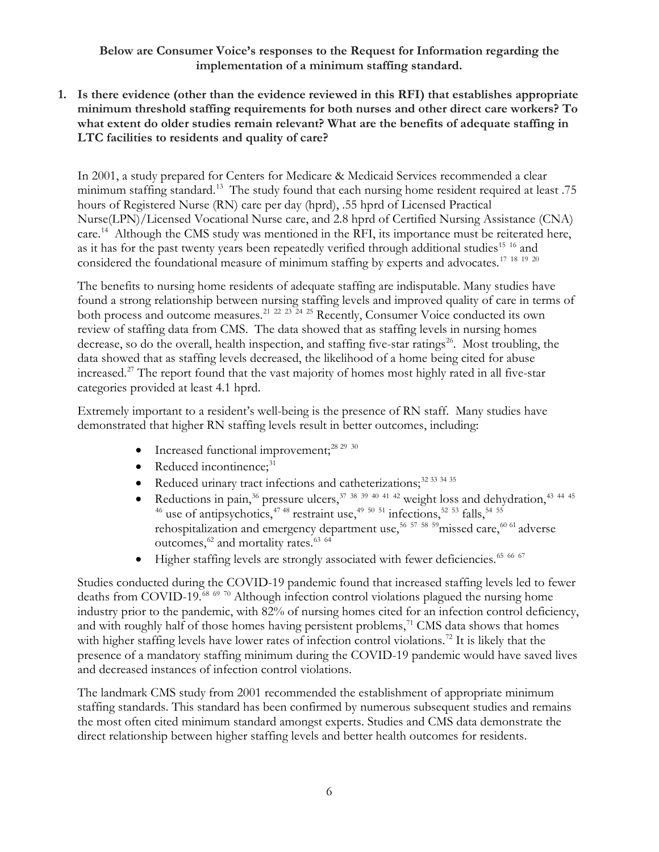**Below are Consumer Voice's responses to the Request for Information regarding the implementation of a minimum staffing standard.**

**1. Is there evidence (other than the evidence reviewed in this RFI) that establishes appropriate minimum threshold staffing requirements for both nurses and other direct care workers? To what extent do older studies remain relevant? What are the benefits of adequate staffing in LTC facilities to residents and quality of care?**

In 2001, a study prepared for Centers for Medicare & Medicaid Services recommended a clear minimum staffing standard.<sup>[13](#page-20-0)</sup> The study found that each nursing home resident required at least .75 hours of Registered Nurse (RN) care per day (hprd), .55 hprd of Licensed Practical Nurse(LPN)/Licensed Vocational Nurse care, and 2.8 hprd of Certified Nursing Assistance (CNA) care.<sup>[14](#page-20-1)</sup> Although the CMS study was mentioned in the RFI, its importance must be reiterated here, as it has for the past twenty years been repeatedly verified through additional studies<sup>15 [16](#page-20-3)</sup> and considered the foundational measure of minimum staffing by experts and advocates.<sup>[17](#page-20-4)</sup> <sup>[18](#page-20-5)</sup> <sup>[19](#page-20-6)</sup> <sup>[20](#page-20-7)</sup>

The benefits to nursing home residents of adequate staffing are indisputable. Many studies have found a strong relationship between nursing staffing levels and improved quality of care in terms of both process and outcome measures.<sup>[21](#page-20-8)</sup> <sup>[22](#page-20-9)</sup> <sup>[23](#page-20-10)</sup> <sup>[24](#page-20-11)</sup> <sup>[25](#page-20-12)</sup> Recently, Consumer Voice conducted its own review of staffing data from CMS. The data showed that as staffing levels in nursing homes decrease, so do the overall, health inspection, and staffing five-star ratings<sup>[26](#page-20-13)</sup>. Most troubling, the data showed that as staffing levels decreased, the likelihood of a home being cited for abuse increased.[27](#page-20-14) The report found that the vast majority of homes most highly rated in all five-star categories provided at least 4.1 hprd.

Extremely important to a resident's well-being is the presence of RN staff. Many studies have demonstrated that higher RN staffing levels result in better outcomes, including:

- Increased functional improvement; $^{28\ 29\ 30}$  $^{28\ 29\ 30}$  $^{28\ 29\ 30}$  $^{28\ 29\ 30}$  $^{28\ 29\ 30}$  $^{28\ 29\ 30}$  $^{28\ 29\ 30}$
- $\bullet$  Reduced incontinence;<sup>[31](#page-20-18)</sup>
- Reduced urinary tract infections and catheterizations;<sup>[32](#page-20-19) [33](#page-20-20) [34](#page-20-21) 35</sup>
- Reductions in pain,<sup>[36](#page-20-23)</sup> pressure ulcers,<sup>[37](#page-20-24)</sup> <sup>[38](#page-20-25) [39](#page-20-26) [40](#page-20-27) [41](#page-20-28) [42](#page-20-29)</sup> weight loss and dehydration,<sup>[43](#page-20-30)</sup> <sup>[44](#page-20-31) [45](#page-20-32)</sup> <sup>[46](#page-20-33)</sup> use of antipsychotics,<sup>[47](#page-20-34) [48](#page-20-35)</sup> restraint use,<sup>[49](#page-20-36) [50](#page-20-37) [51](#page-20-38)</sup> infections,<sup>[52](#page-20-39) [53](#page-20-40)</sup> falls,<sup>[54](#page-20-41) [55](#page-20-42)</sup> rehospitalization and emergency department use,<sup>56 [57](#page-20-44)</sup> [58](#page-20-15) 59<sub>missed</sub> care,<sup>[60](#page-20-46) [61](#page-20-47)</sup> adverse outcomes, $62$  and mortality rates. $63/64$  $63/64$
- Higher staffing levels are strongly associated with fewer deficiencies.<sup>[65](#page-20-49) [66](#page-20-25) [67](#page-20-50)</sup>

Studies conducted during the COVID-19 pandemic found that increased staffing levels led to fewer deaths from COVID-19.<sup>[68](#page-20-51) [69](#page-20-52) [70](#page-20-31)</sup> Although infection control violations plagued the nursing home industry prior to the pandemic, with 82% of nursing homes cited for an infection control deficiency, and with roughly half of those homes having persistent problems, $71 \text{ CMS}$  $71 \text{ CMS}$  data shows that homes with higher staffing levels have lower rates of infection control violations.<sup>[72](#page-20-54)</sup> It is likely that the presence of a mandatory staffing minimum during the COVID-19 pandemic would have saved lives and decreased instances of infection control violations.

The landmark CMS study from 2001 recommended the establishment of appropriate minimum staffing standards. This standard has been confirmed by numerous subsequent studies and remains the most often cited minimum standard amongst experts. Studies and CMS data demonstrate the direct relationship between higher staffing levels and better health outcomes for residents.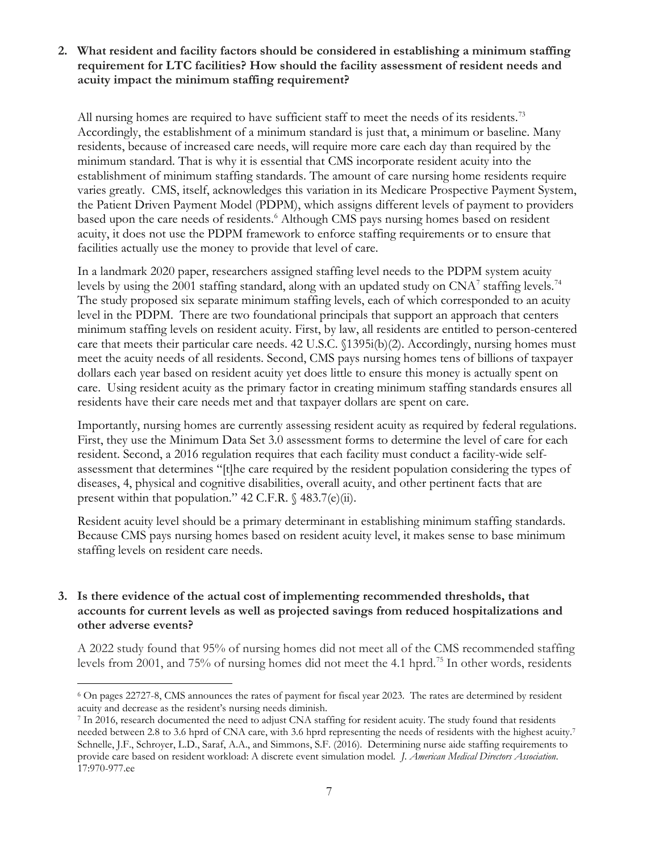# **2. What resident and facility factors should be considered in establishing a minimum staffing requirement for LTC facilities? How should the facility assessment of resident needs and acuity impact the minimum staffing requirement?**

All nursing homes are required to have sufficient staff to meet the needs of its residents.<sup>[73](#page-21-0)</sup> Accordingly, the establishment of a minimum standard is just that, a minimum or baseline. Many residents, because of increased care needs, will require more care each day than required by the minimum standard. That is why it is essential that CMS incorporate resident acuity into the establishment of minimum staffing standards. The amount of care nursing home residents require varies greatly. CMS, itself, acknowledges this variation in its Medicare Prospective Payment System, the Patient Driven Payment Model (PDPM), which assigns different levels of payment to providers based upon the care needs of residents. [6](#page-6-0) Although CMS pays nursing homes based on resident acuity, it does not use the PDPM framework to enforce staffing requirements or to ensure that facilities actually use the money to provide that level of care.

In a landmark 2020 paper, researchers assigned staffing level needs to the PDPM system acuity levels by using the 2001 staffing standard, along with an updated study on  $CNA^7$  $CNA^7$  staffing levels.<sup>74</sup> The study proposed six separate minimum staffing levels, each of which corresponded to an acuity level in the PDPM. There are two foundational principals that support an approach that centers minimum staffing levels on resident acuity. First, by law, all residents are entitled to person-centered care that meets their particular care needs. 42 U.S.C. §1395i(b)(2). Accordingly, nursing homes must meet the acuity needs of all residents. Second, CMS pays nursing homes tens of billions of taxpayer dollars each year based on resident acuity yet does little to ensure this money is actually spent on care. Using resident acuity as the primary factor in creating minimum staffing standards ensures all residents have their care needs met and that taxpayer dollars are spent on care.

Importantly, nursing homes are currently assessing resident acuity as required by federal regulations. First, they use the Minimum Data Set 3.0 assessment forms to determine the level of care for each resident. Second, a 2016 regulation requires that each facility must conduct a facility-wide selfassessment that determines "[t]he care required by the resident population considering the types of diseases, 4, physical and cognitive disabilities, overall acuity, and other pertinent facts that are present within that population." 42 C.F.R. § 483.7(e)(ii).

Resident acuity level should be a primary determinant in establishing minimum staffing standards. Because CMS pays nursing homes based on resident acuity level, it makes sense to base minimum staffing levels on resident care needs.

#### **3. Is there evidence of the actual cost of implementing recommended thresholds, that accounts for current levels as well as projected savings from reduced hospitalizations and other adverse events?**

A 2022 study found that 95% of nursing homes did not meet all of the CMS recommended staffing levels from 2001, and 75% of nursing homes did not meet the 4.1 hprd.[75](#page-21-2) In other words, residents

<span id="page-6-0"></span><sup>6</sup> On pages 22727-8, CMS announces the rates of payment for fiscal year 2023. The rates are determined by resident acuity and decrease as the resident's nursing needs diminish.<br>7 In 2016, research documented the need to adjust CNA staffing for resident acuity. The study found that residents

<span id="page-6-1"></span>needed between 2.8 to 3.6 hprd of CNA care, with 3.6 hprd representing the needs of residents with the highest acuity.7 Schnelle, J.F., Schroyer, L.D., Saraf, A.A., and Simmons, S.F. (2016). Determining nurse aide staffing requirements to provide care based on resident workload: A discrete event simulation model*. J. American Medical Directors Association*. 17:970-977.ee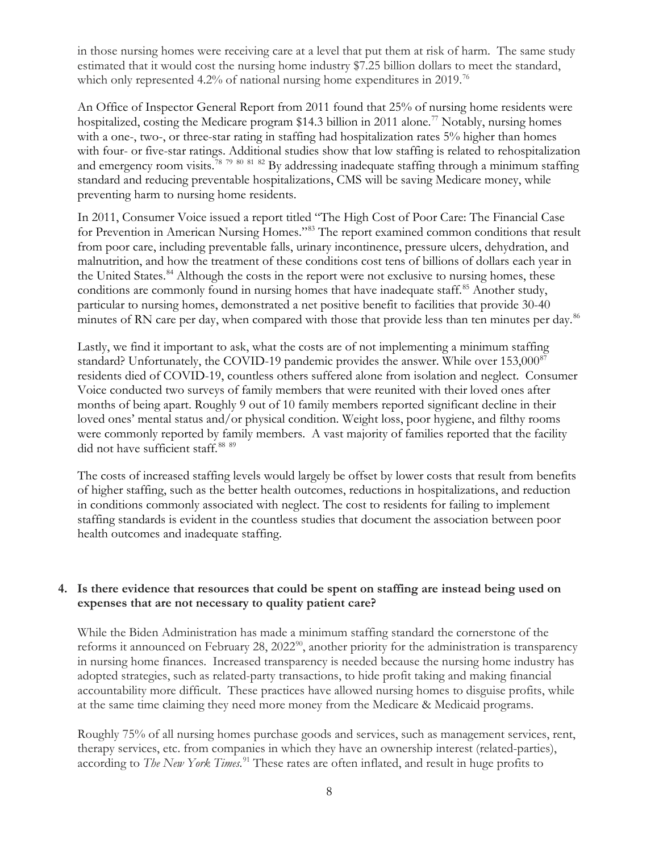in those nursing homes were receiving care at a level that put them at risk of harm. The same study estimated that it would cost the nursing home industry \$7.25 billion dollars to meet the standard, which only represented 4.2% of national nursing home expenditures in 2019.<sup>[76](#page-22-0)</sup>

An Office of Inspector General Report from 2011 found that 25% of nursing home residents were hospitalized, costing the Medicare program \$14.3 billion in 2011 alone.<sup>[77](#page-22-1)</sup> Notably, nursing homes with a one-, two-, or three-star rating in staffing had hospitalization rates 5% higher than homes with four- or five-star ratings. Additional studies show that low staffing is related to rehospitalization and emergency room visits.<sup>[78](#page-22-2) [79](#page-22-3) [80](#page-22-4) [81](#page-22-5) [82](#page-22-6)</sup> By addressing inadequate staffing through a minimum staffing standard and reducing preventable hospitalizations, CMS will be saving Medicare money, while preventing harm to nursing home residents.

In 2011, Consumer Voice issued a report titled "The High Cost of Poor Care: The Financial Case for Prevention in American Nursing Homes."[83](#page-22-7) The report examined common conditions that result from poor care, including preventable falls, urinary incontinence, pressure ulcers, dehydration, and malnutrition, and how the treatment of these conditions cost tens of billions of dollars each year in the United States.<sup>[84](#page-22-8)</sup> Although the costs in the report were not exclusive to nursing homes, these conditions are commonly found in nursing homes that have inadequate staff.<sup>[85](#page-22-9)</sup> Another study, particular to nursing homes, demonstrated a net positive benefit to facilities that provide 30-40 minutes of RN care per day, when compared with those that provide less than ten minutes per day.<sup>[86](#page-22-10)</sup>

Lastly, we find it important to ask, what the costs are of not implementing a minimum staffing standard? Unfortunately, the COVID-19 pandemic provides the answer. While over 153,000<sup>[87](#page-22-11)</sup> residents died of COVID-19, countless others suffered alone from isolation and neglect. Consumer Voice conducted two surveys of family members that were reunited with their loved ones after months of being apart. Roughly 9 out of 10 family members reported significant decline in their loved ones' mental status and/or physical condition. Weight loss, poor hygiene, and filthy rooms were commonly reported by family members. A vast majority of families reported that the facility did not have sufficient staff.<sup>[88](#page-22-12)</sup> [89](#page-22-13)

The costs of increased staffing levels would largely be offset by lower costs that result from benefits of higher staffing, such as the better health outcomes, reductions in hospitalizations, and reduction in conditions commonly associated with neglect. The cost to residents for failing to implement staffing standards is evident in the countless studies that document the association between poor health outcomes and inadequate staffing.

#### **4. Is there evidence that resources that could be spent on staffing are instead being used on expenses that are not necessary to quality patient care?**

While the Biden Administration has made a minimum staffing standard the cornerstone of the reforms it announced on February 28, 2022<sup>[90](#page-22-14)</sup>, another priority for the administration is transparency in nursing home finances. Increased transparency is needed because the nursing home industry has adopted strategies, such as related-party transactions, to hide profit taking and making financial accountability more difficult. These practices have allowed nursing homes to disguise profits, while at the same time claiming they need more money from the Medicare & Medicaid programs.

Roughly 75% of all nursing homes purchase goods and services, such as management services, rent, therapy services, etc. from companies in which they have an ownership interest (related-parties), according to *The New York Times.*[91](#page-22-15) These rates are often inflated, and result in huge profits to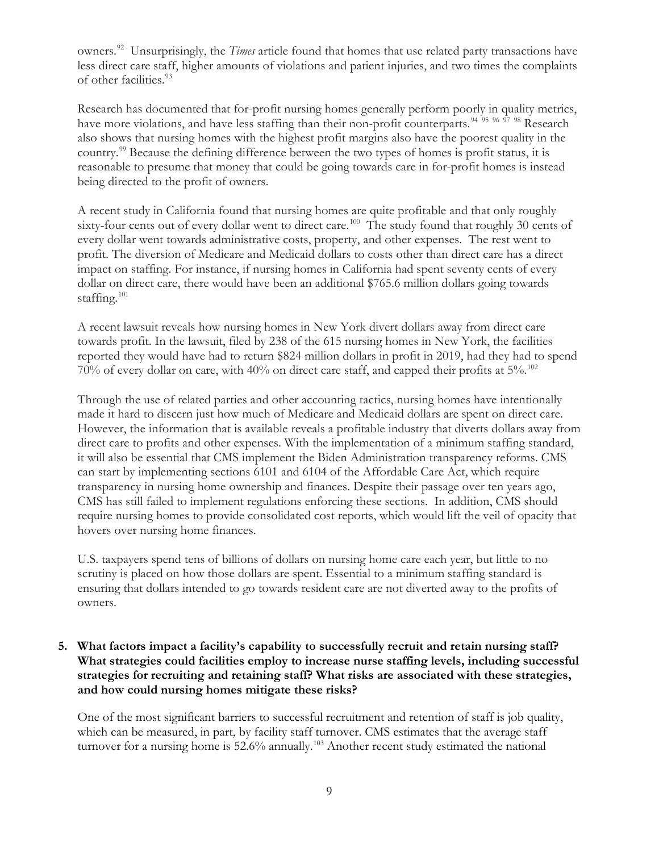owners.[92](#page-23-0) Unsurprisingly, the *Times* article found that homes that use related party transactions have less direct care staff, higher amounts of violations and patient injuries, and two times the complaints of other facilities[.93](#page-23-1)

Research has documented that for-profit nursing homes generally perform poorly in quality metrics, have more violations, and have less staffing than their non-profit counterparts.<sup>[94](#page-23-2) [95](#page-23-3) [96](#page-23-4) [97](#page-23-5) [98](#page-23-6)</sup> Research also shows that nursing homes with the highest profit margins also have the poorest quality in the country.[99](#page-23-7) Because the defining difference between the two types of homes is profit status, it is reasonable to presume that money that could be going towards care in for-profit homes is instead being directed to the profit of owners.

A recent study in California found that nursing homes are quite profitable and that only roughly sixty-four cents out of every dollar went to direct care.<sup>[100](#page-23-8)</sup> The study found that roughly 30 cents of every dollar went towards administrative costs, property, and other expenses. The rest went to profit. The diversion of Medicare and Medicaid dollars to costs other than direct care has a direct impact on staffing. For instance, if nursing homes in California had spent seventy cents of every dollar on direct care, there would have been an additional \$765.6 million dollars going towards staffing.<sup>[101](#page-23-9)</sup>

A recent lawsuit reveals how nursing homes in New York divert dollars away from direct care towards profit. In the lawsuit, filed by 238 of the 615 nursing homes in New York, the facilities reported they would have had to return \$824 million dollars in profit in 2019, had they had to spend 70% of every dollar on care, with 40% on direct care staff, and capped their profits at 5%.[102](#page-23-10)

Through the use of related parties and other accounting tactics, nursing homes have intentionally made it hard to discern just how much of Medicare and Medicaid dollars are spent on direct care. However, the information that is available reveals a profitable industry that diverts dollars away from direct care to profits and other expenses. With the implementation of a minimum staffing standard, it will also be essential that CMS implement the Biden Administration transparency reforms. CMS can start by implementing sections 6101 and 6104 of the Affordable Care Act, which require transparency in nursing home ownership and finances. Despite their passage over ten years ago, CMS has still failed to implement regulations enforcing these sections. In addition, CMS should require nursing homes to provide consolidated cost reports, which would lift the veil of opacity that hovers over nursing home finances.

U.S. taxpayers spend tens of billions of dollars on nursing home care each year, but little to no scrutiny is placed on how those dollars are spent. Essential to a minimum staffing standard is ensuring that dollars intended to go towards resident care are not diverted away to the profits of owners.

**5. What factors impact a facility's capability to successfully recruit and retain nursing staff? What strategies could facilities employ to increase nurse staffing levels, including successful strategies for recruiting and retaining staff? What risks are associated with these strategies, and how could nursing homes mitigate these risks?**

One of the most significant barriers to successful recruitment and retention of staff is job quality, which can be measured, in part, by facility staff turnover. CMS estimates that the average staff turnover for a nursing home is 52.6% annually.<sup>[103](#page-23-11)</sup> Another recent study estimated the national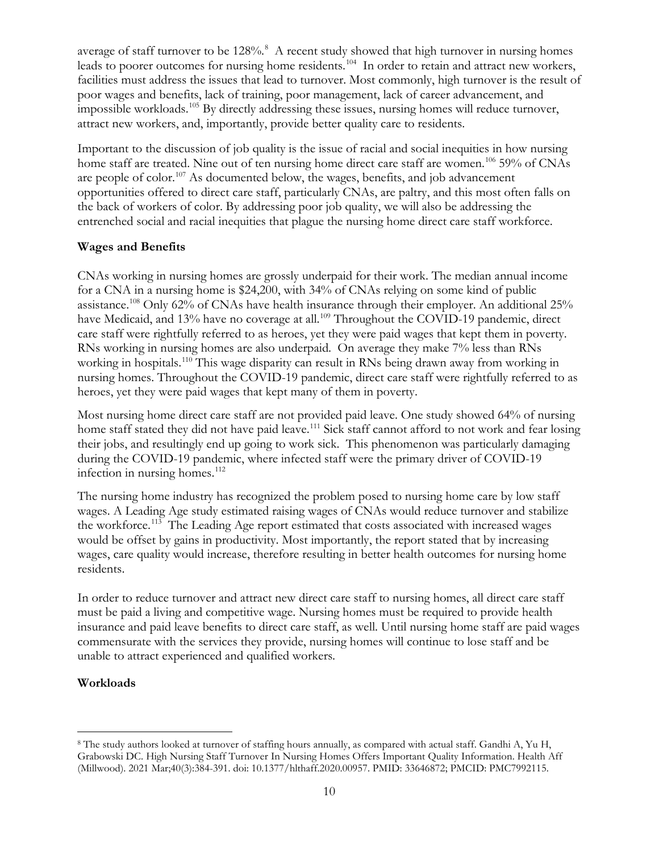average of staff turnover to be 12[8](#page-9-0)%.<sup>8</sup> A recent study showed that high turnover in nursing homes leads to poorer outcomes for nursing home residents.<sup>[104](#page-23-12)</sup> In order to retain and attract new workers, facilities must address the issues that lead to turnover. Most commonly, high turnover is the result of poor wages and benefits, lack of training, poor management, lack of career advancement, and impossible workloads.[105](#page-23-13) By directly addressing these issues, nursing homes will reduce turnover, attract new workers, and, importantly, provide better quality care to residents.

Important to the discussion of job quality is the issue of racial and social inequities in how nursing home staff are treated. Nine out of ten nursing home direct care staff are women.<sup>[106](#page-23-14)</sup> 59% of CNAs are people of color.<sup>[107](#page-23-15)</sup> As documented below, the wages, benefits, and job advancement opportunities offered to direct care staff, particularly CNAs, are paltry, and this most often falls on the back of workers of color. By addressing poor job quality, we will also be addressing the entrenched social and racial inequities that plague the nursing home direct care staff workforce.

# **Wages and Benefits**

CNAs working in nursing homes are grossly underpaid for their work. The median annual income for a CNA in a nursing home is \$24,200, with 34% of CNAs relying on some kind of public assistance.<sup>[108](#page-23-16)</sup> Only 62% of CNAs have health insurance through their employer. An additional 25% have Medicaid, and 13% have no coverage at all.<sup>109</sup> Throughout the COVID-19 pandemic, direct care staff were rightfully referred to as heroes, yet they were paid wages that kept them in poverty. RNs working in nursing homes are also underpaid. On average they make 7% less than RNs working in hospitals.[110](#page-23-18) This wage disparity can result in RNs being drawn away from working in nursing homes. Throughout the COVID-19 pandemic, direct care staff were rightfully referred to as heroes, yet they were paid wages that kept many of them in poverty.

Most nursing home direct care staff are not provided paid leave. One study showed 64% of nursing home staff stated they did not have paid leave.<sup>[111](#page-23-19)</sup> Sick staff cannot afford to not work and fear losing their jobs, and resultingly end up going to work sick. This phenomenon was particularly damaging during the COVID-19 pandemic, where infected staff were the primary driver of COVID-19 infection in nursing homes.<sup>[112](#page-23-20)</sup>

The nursing home industry has recognized the problem posed to nursing home care by low staff wages. A Leading Age study estimated raising wages of CNAs would reduce turnover and stabilize the workforce.[113](#page-23-21) The Leading Age report estimated that costs associated with increased wages would be offset by gains in productivity. Most importantly, the report stated that by increasing wages, care quality would increase, therefore resulting in better health outcomes for nursing home residents.

In order to reduce turnover and attract new direct care staff to nursing homes, all direct care staff must be paid a living and competitive wage. Nursing homes must be required to provide health insurance and paid leave benefits to direct care staff, as well. Until nursing home staff are paid wages commensurate with the services they provide, nursing homes will continue to lose staff and be unable to attract experienced and qualified workers.

# **Workloads**

<span id="page-9-0"></span><sup>8</sup> The study authors looked at turnover of staffing hours annually, as compared with actual staff. Gandhi A, Yu H, Grabowski DC. High Nursing Staff Turnover In Nursing Homes Offers Important Quality Information. Health Aff (Millwood). 2021 Mar;40(3):384-391. doi: 10.1377/hlthaff.2020.00957. PMID: 33646872; PMCID: PMC7992115.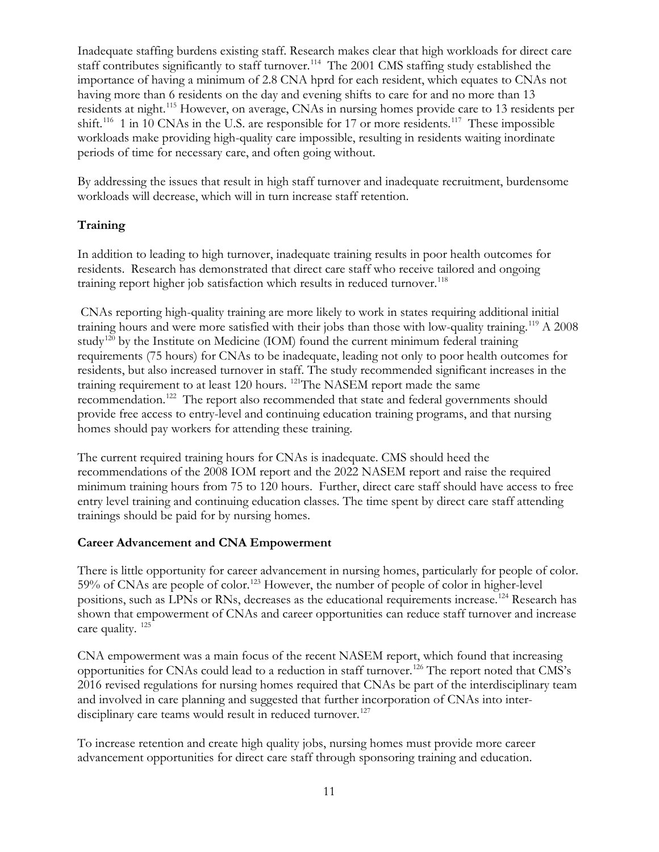Inadequate staffing burdens existing staff. Research makes clear that high workloads for direct care staff contributes significantly to staff turnover.<sup>[114](#page-23-22)</sup> The 2001 CMS staffing study established the importance of having a minimum of 2.8 CNA hprd for each resident, which equates to CNAs not having more than 6 residents on the day and evening shifts to care for and no more than 13 residents at night.[115](#page-23-23) However, on average, CNAs in nursing homes provide care to 13 residents per shift.<sup>[116](#page-23-24)</sup> 1 in 10 CNAs in the U.S. are responsible for 17 or more residents.<sup>[117](#page-23-25)</sup> These impossible workloads make providing high-quality care impossible, resulting in residents waiting inordinate periods of time for necessary care, and often going without.

By addressing the issues that result in high staff turnover and inadequate recruitment, burdensome workloads will decrease, which will in turn increase staff retention.

# **Training**

In addition to leading to high turnover, inadequate training results in poor health outcomes for residents. Research has demonstrated that direct care staff who receive tailored and ongoing training report higher job satisfaction which results in reduced turnover.<sup>[118](#page-23-26)</sup>

CNAs reporting high-quality training are more likely to work in states requiring additional initial training hours and were more satisfied with their jobs than those with low-quality training.[119](#page-23-27) A 2008 study<sup>[120](#page-23-1)</sup> by the Institute on Medicine (IOM) found the current minimum federal training requirements (75 hours) for CNAs to be inadequate, leading not only to poor health outcomes for residents, but also increased turnover in staff. The study recommended significant increases in the training requirement to at least 120 hours. <sup>121</sup>The NASEM report made the same recommendation.[122](#page-23-29) The report also recommended that state and federal governments should provide free access to entry-level and continuing education training programs, and that nursing homes should pay workers for attending these training.

The current required training hours for CNAs is inadequate. CMS should heed the recommendations of the 2008 IOM report and the 2022 NASEM report and raise the required minimum training hours from 75 to 120 hours. Further, direct care staff should have access to free entry level training and continuing education classes. The time spent by direct care staff attending trainings should be paid for by nursing homes.

#### **Career Advancement and CNA Empowerment**

There is little opportunity for career advancement in nursing homes, particularly for people of color. 59% of CNAs are people of color.[123](#page-23-30) However, the number of people of color in higher-level positions, such as LPNs or RNs, decreases as the educational requirements increase.<sup>[124](#page-23-31)</sup> Research has shown that empowerment of CNAs and career opportunities can reduce staff turnover and increase care quality. [125](#page-23-32)

CNA empowerment was a main focus of the recent NASEM report, which found that increasing opportunities for CNAs could lead to a reduction in staff turnover.[126](#page-23-33) The report noted that CMS's 2016 revised regulations for nursing homes required that CNAs be part of the interdisciplinary team and involved in care planning and suggested that further incorporation of CNAs into inter-disciplinary care teams would result in reduced turnover.<sup>[127](#page-23-34)</sup>

To increase retention and create high quality jobs, nursing homes must provide more career advancement opportunities for direct care staff through sponsoring training and education.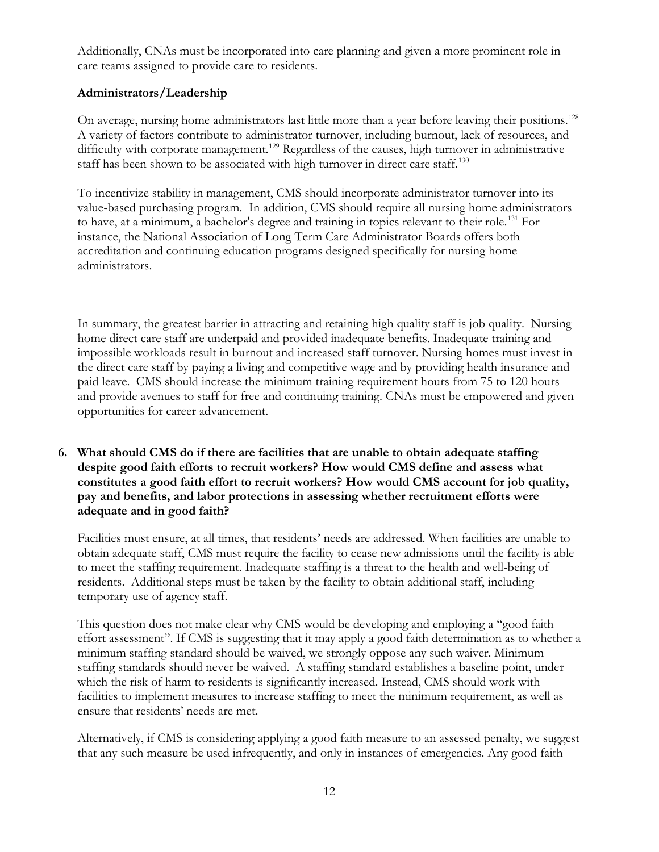Additionally, CNAs must be incorporated into care planning and given a more prominent role in care teams assigned to provide care to residents.

# **Administrators/Leadership**

On average, nursing home administrators last little more than a year before leaving their positions.<sup>128</sup> A variety of factors contribute to administrator turnover, including burnout, lack of resources, and difficulty with corporate management.<sup>[129](#page-23-36)</sup> Regardless of the causes, high turnover in administrative staff has been shown to be associated with high turnover in direct care staff.<sup>130</sup>

To incentivize stability in management, CMS should incorporate administrator turnover into its value-based purchasing program. In addition, CMS should require all nursing home administrators to have, at a minimum, a bachelor's degree and training in topics relevant to their role.[131](#page-23-38) For instance, the National Association of Long Term Care Administrator Boards offers both accreditation and continuing education programs designed specifically for nursing home administrators.

In summary, the greatest barrier in attracting and retaining high quality staff is job quality. Nursing home direct care staff are underpaid and provided inadequate benefits. Inadequate training and impossible workloads result in burnout and increased staff turnover. Nursing homes must invest in the direct care staff by paying a living and competitive wage and by providing health insurance and paid leave. CMS should increase the minimum training requirement hours from 75 to 120 hours and provide avenues to staff for free and continuing training. CNAs must be empowered and given opportunities for career advancement.

**6. What should CMS do if there are facilities that are unable to obtain adequate staffing despite good faith efforts to recruit workers? How would CMS define and assess what constitutes a good faith effort to recruit workers? How would CMS account for job quality, pay and benefits, and labor protections in assessing whether recruitment efforts were adequate and in good faith?**

Facilities must ensure, at all times, that residents' needs are addressed. When facilities are unable to obtain adequate staff, CMS must require the facility to cease new admissions until the facility is able to meet the staffing requirement. Inadequate staffing is a threat to the health and well-being of residents. Additional steps must be taken by the facility to obtain additional staff, including temporary use of agency staff.

This question does not make clear why CMS would be developing and employing a "good faith effort assessment". If CMS is suggesting that it may apply a good faith determination as to whether a minimum staffing standard should be waived, we strongly oppose any such waiver. Minimum staffing standards should never be waived. A staffing standard establishes a baseline point, under which the risk of harm to residents is significantly increased. Instead, CMS should work with facilities to implement measures to increase staffing to meet the minimum requirement, as well as ensure that residents' needs are met.

Alternatively, if CMS is considering applying a good faith measure to an assessed penalty, we suggest that any such measure be used infrequently, and only in instances of emergencies. Any good faith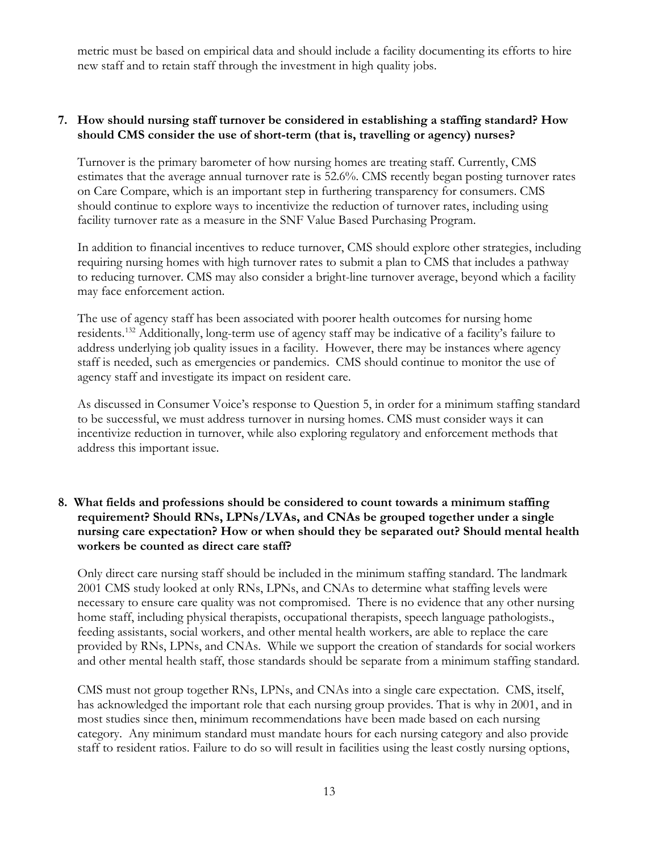metric must be based on empirical data and should include a facility documenting its efforts to hire new staff and to retain staff through the investment in high quality jobs.

#### **7. How should nursing staff turnover be considered in establishing a staffing standard? How should CMS consider the use of short-term (that is, travelling or agency) nurses?**

Turnover is the primary barometer of how nursing homes are treating staff. Currently, CMS estimates that the average annual turnover rate is 52.6%. CMS recently began posting turnover rates on Care Compare, which is an important step in furthering transparency for consumers. CMS should continue to explore ways to incentivize the reduction of turnover rates, including using facility turnover rate as a measure in the SNF Value Based Purchasing Program.

In addition to financial incentives to reduce turnover, CMS should explore other strategies, including requiring nursing homes with high turnover rates to submit a plan to CMS that includes a pathway to reducing turnover. CMS may also consider a bright-line turnover average, beyond which a facility may face enforcement action.

The use of agency staff has been associated with poorer health outcomes for nursing home residents.[132](#page-23-39) Additionally, long-term use of agency staff may be indicative of a facility's failure to address underlying job quality issues in a facility. However, there may be instances where agency staff is needed, such as emergencies or pandemics. CMS should continue to monitor the use of agency staff and investigate its impact on resident care.

As discussed in Consumer Voice's response to Question 5, in order for a minimum staffing standard to be successful, we must address turnover in nursing homes. CMS must consider ways it can incentivize reduction in turnover, while also exploring regulatory and enforcement methods that address this important issue.

#### **8. What fields and professions should be considered to count towards a minimum staffing requirement? Should RNs, LPNs/LVAs, and CNAs be grouped together under a single nursing care expectation? How or when should they be separated out? Should mental health workers be counted as direct care staff?**

Only direct care nursing staff should be included in the minimum staffing standard. The landmark 2001 CMS study looked at only RNs, LPNs, and CNAs to determine what staffing levels were necessary to ensure care quality was not compromised. There is no evidence that any other nursing home staff, including physical therapists, occupational therapists, speech language pathologists., feeding assistants, social workers, and other mental health workers, are able to replace the care provided by RNs, LPNs, and CNAs. While we support the creation of standards for social workers and other mental health staff, those standards should be separate from a minimum staffing standard.

CMS must not group together RNs, LPNs, and CNAs into a single care expectation. CMS, itself, has acknowledged the important role that each nursing group provides. That is why in 2001, and in most studies since then, minimum recommendations have been made based on each nursing category. Any minimum standard must mandate hours for each nursing category and also provide staff to resident ratios. Failure to do so will result in facilities using the least costly nursing options,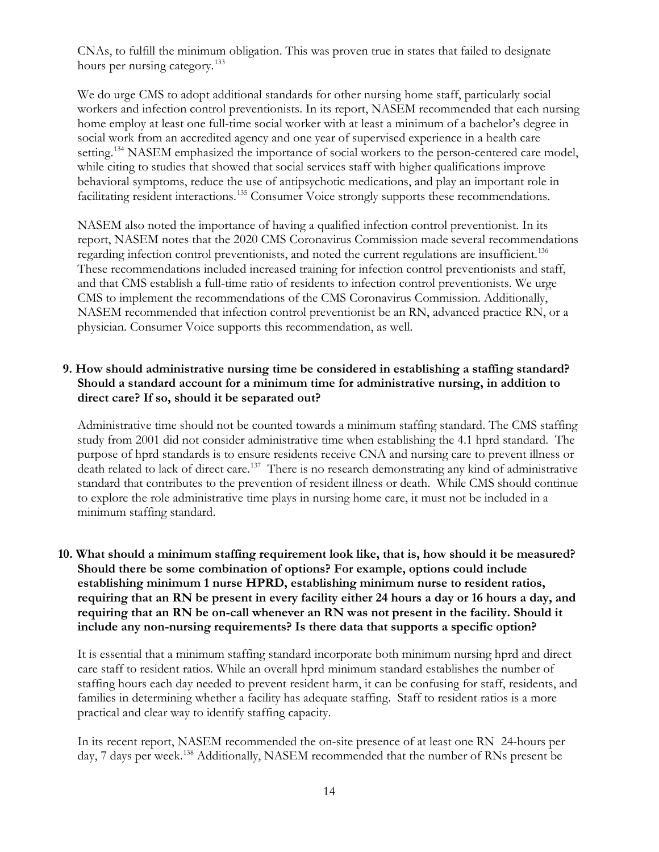CNAs, to fulfill the minimum obligation. This was proven true in states that failed to designate hours per nursing category.<sup>[133](#page-23-40)</sup>

We do urge CMS to adopt additional standards for other nursing home staff, particularly social workers and infection control preventionists. In its report, NASEM recommended that each nursing home employ at least one full-time social worker with at least a minimum of a bachelor's degree in social work from an accredited agency and one year of supervised experience in a health care setting.<sup>[134](#page-23-41)</sup> NASEM emphasized the importance of social workers to the person-centered care model, while citing to studies that showed that social services staff with higher qualifications improve behavioral symptoms, reduce the use of antipsychotic medications, and play an important role in facilitating resident interactions.<sup>[135](#page-23-42)</sup> Consumer Voice strongly supports these recommendations.

NASEM also noted the importance of having a qualified infection control preventionist. In its report, NASEM notes that the 2020 CMS Coronavirus Commission made several recommendations regarding infection control preventionists, and noted the current regulations are insufficient.<sup>[136](#page-23-43)</sup> These recommendations included increased training for infection control preventionists and staff, and that CMS establish a full-time ratio of residents to infection control preventionists. We urge CMS to implement the recommendations of the CMS Coronavirus Commission. Additionally, NASEM recommended that infection control preventionist be an RN, advanced practice RN, or a physician. Consumer Voice supports this recommendation, as well.

#### **9. How should administrative nursing time be considered in establishing a staffing standard? Should a standard account for a minimum time for administrative nursing, in addition to direct care? If so, should it be separated out?**

Administrative time should not be counted towards a minimum staffing standard. The CMS staffing study from 2001 did not consider administrative time when establishing the 4.1 hprd standard. The purpose of hprd standards is to ensure residents receive CNA and nursing care to prevent illness or death related to lack of direct care.[137](#page-23-44) There is no research demonstrating any kind of administrative standard that contributes to the prevention of resident illness or death. While CMS should continue to explore the role administrative time plays in nursing home care, it must not be included in a minimum staffing standard.

# **10. What should a minimum staffing requirement look like, that is, how should it be measured? Should there be some combination of options? For example, options could include establishing minimum 1 nurse HPRD, establishing minimum nurse to resident ratios, requiring that an RN be present in every facility either 24 hours a day or 16 hours a day, and requiring that an RN be on-call whenever an RN was not present in the facility. Should it include any non-nursing requirements? Is there data that supports a specific option?**

It is essential that a minimum staffing standard incorporate both minimum nursing hprd and direct care staff to resident ratios. While an overall hprd minimum standard establishes the number of staffing hours each day needed to prevent resident harm, it can be confusing for staff, residents, and families in determining whether a facility has adequate staffing. Staff to resident ratios is a more practical and clear way to identify staffing capacity.

In its recent report, NASEM recommended the on-site presence of at least one RN 24-hours per day, 7 days per week.<sup>[138](#page-23-23)</sup> Additionally, NASEM recommended that the number of RNs present be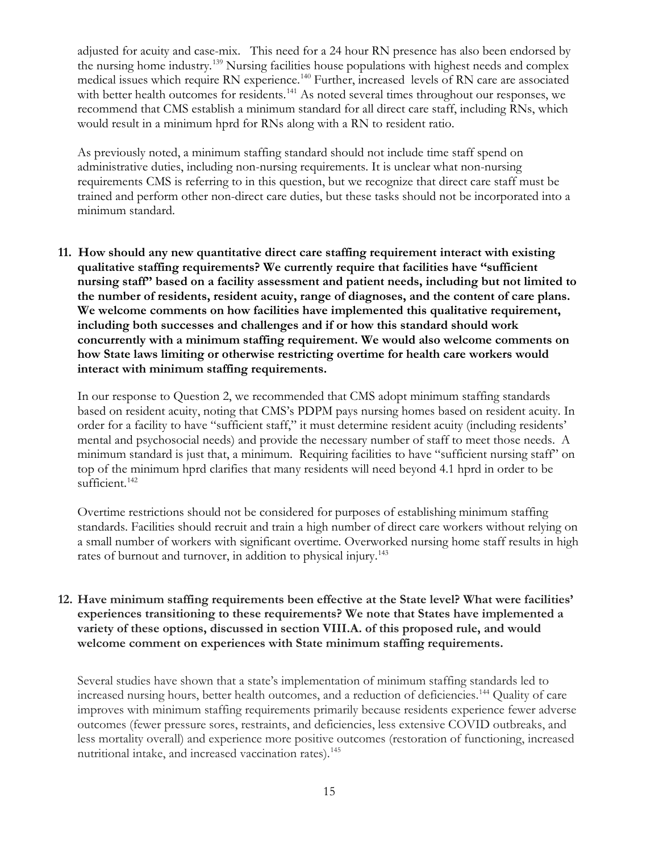adjusted for acuity and case-mix. This need for a 24 hour RN presence has also been endorsed by the nursing home industry.[139](#page-23-24) Nursing facilities house populations with highest needs and complex medical issues which require RN experience.<sup>[140](#page-23-45)</sup> Further, increased levels of RN care are associated with better health outcomes for residents.<sup>[141](#page-23-25)</sup> As noted several times throughout our responses, we recommend that CMS establish a minimum standard for all direct care staff, including RNs, which would result in a minimum hprd for RNs along with a RN to resident ratio.

As previously noted, a minimum staffing standard should not include time staff spend on administrative duties, including non-nursing requirements. It is unclear what non-nursing requirements CMS is referring to in this question, but we recognize that direct care staff must be trained and perform other non-direct care duties, but these tasks should not be incorporated into a minimum standard.

**11. How should any new quantitative direct care staffing requirement interact with existing qualitative staffing requirements? We currently require that facilities have ''sufficient nursing staff'' based on a facility assessment and patient needs, including but not limited to the number of residents, resident acuity, range of diagnoses, and the content of care plans. We welcome comments on how facilities have implemented this qualitative requirement, including both successes and challenges and if or how this standard should work concurrently with a minimum staffing requirement. We would also welcome comments on how State laws limiting or otherwise restricting overtime for health care workers would interact with minimum staffing requirements.**

In our response to Question 2, we recommended that CMS adopt minimum staffing standards based on resident acuity, noting that CMS's PDPM pays nursing homes based on resident acuity. In order for a facility to have "sufficient staff," it must determine resident acuity (including residents' mental and psychosocial needs) and provide the necessary number of staff to meet those needs. A minimum standard is just that, a minimum. Requiring facilities to have "sufficient nursing staff" on top of the minimum hprd clarifies that many residents will need beyond 4.1 hprd in order to be sufficient.<sup>[142](#page-23-26)</sup>

Overtime restrictions should not be considered for purposes of establishing minimum staffing standards. Facilities should recruit and train a high number of direct care workers without relying on a small number of workers with significant overtime. Overworked nursing home staff results in high rates of burnout and turnover, in addition to physical injury.<sup>[143](#page-23-27)</sup>

#### **12. Have minimum staffing requirements been effective at the State level? What were facilities' experiences transitioning to these requirements? We note that States have implemented a variety of these options, discussed in section VIII.A. of this proposed rule, and would welcome comment on experiences with State minimum staffing requirements.**

Several studies have shown that a state's implementation of minimum staffing standards led to increased nursing hours, better health outcomes, and a reduction of deficiencies.[144](#page-23-46) Quality of care improves with minimum staffing requirements primarily because residents experience fewer adverse outcomes (fewer pressure sores, restraints, and deficiencies, less extensive COVID outbreaks, and less mortality overall) and experience more positive outcomes (restoration of functioning, increased nutritional intake, and increased vaccination rates).<sup>[145](#page-23-28)</sup>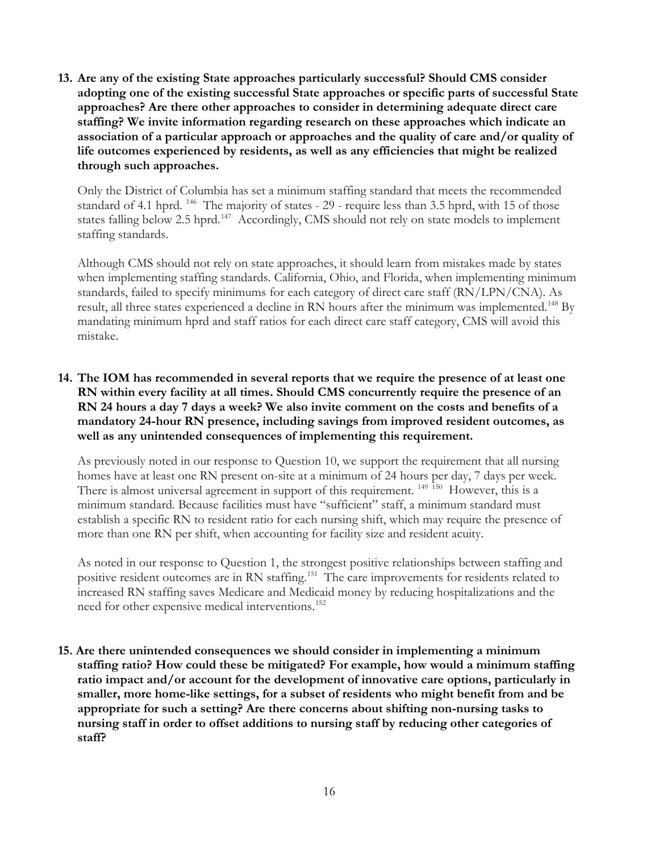**13. Are any of the existing State approaches particularly successful? Should CMS consider adopting one of the existing successful State approaches or specific parts of successful State approaches? Are there other approaches to consider in determining adequate direct care staffing? We invite information regarding research on these approaches which indicate an association of a particular approach or approaches and the quality of care and/or quality of life outcomes experienced by residents, as well as any efficiencies that might be realized through such approaches.**

Only the District of Columbia has set a minimum staffing standard that meets the recommended standard of 4.1 hprd. <sup>[146](#page-23-47)</sup> The majority of states - 29 - require less than 3.5 hprd, with 15 of those states falling below 2.5 hprd.<sup>[147](#page-23-30)</sup> Accordingly, CMS should not rely on state models to implement staffing standards.

Although CMS should not rely on state approaches, it should learn from mistakes made by states when implementing staffing standards. California, Ohio, and Florida, when implementing minimum standards, failed to specify minimums for each category of direct care staff (RN/LPN/CNA). As result, all three states experienced a decline in RN hours after the minimum was implemented.<sup>[148](#page-23-31)</sup> By mandating minimum hprd and staff ratios for each direct care staff category, CMS will avoid this mistake.

## **14. The IOM has recommended in several reports that we require the presence of at least one RN within every facility at all times. Should CMS concurrently require the presence of an RN 24 hours a day 7 days a week? We also invite comment on the costs and benefits of a mandatory 24-hour RN presence, including savings from improved resident outcomes, as well as any unintended consequences of implementing this requirement.**

As previously noted in our response to Question 10, we support the requirement that all nursing homes have at least one RN present on-site at a minimum of 24 hours per day, 7 days per week. There is almost universal agreement in support of this requirement. <sup>[149](#page-23-48) [150](#page-23-49)</sup> However, this is a minimum standard. Because facilities must have "sufficient" staff, a minimum standard must establish a specific RN to resident ratio for each nursing shift, which may require the presence of more than one RN per shift, when accounting for facility size and resident acuity.

As noted in our response to Question 1, the strongest positive relationships between staffing and positive resident outcomes are in RN staffing.<sup>[151](#page-23-50)</sup> The care improvements for residents related to increased RN staffing saves Medicare and Medicaid money by reducing hospitalizations and the need for other expensive medical interventions.<sup>[152](#page-23-35)</sup>

**15. Are there unintended consequences we should consider in implementing a minimum staffing ratio? How could these be mitigated? For example, how would a minimum staffing ratio impact and/or account for the development of innovative care options, particularly in smaller, more home-like settings, for a subset of residents who might benefit from and be appropriate for such a setting? Are there concerns about shifting non-nursing tasks to nursing staff in order to offset additions to nursing staff by reducing other categories of staff?**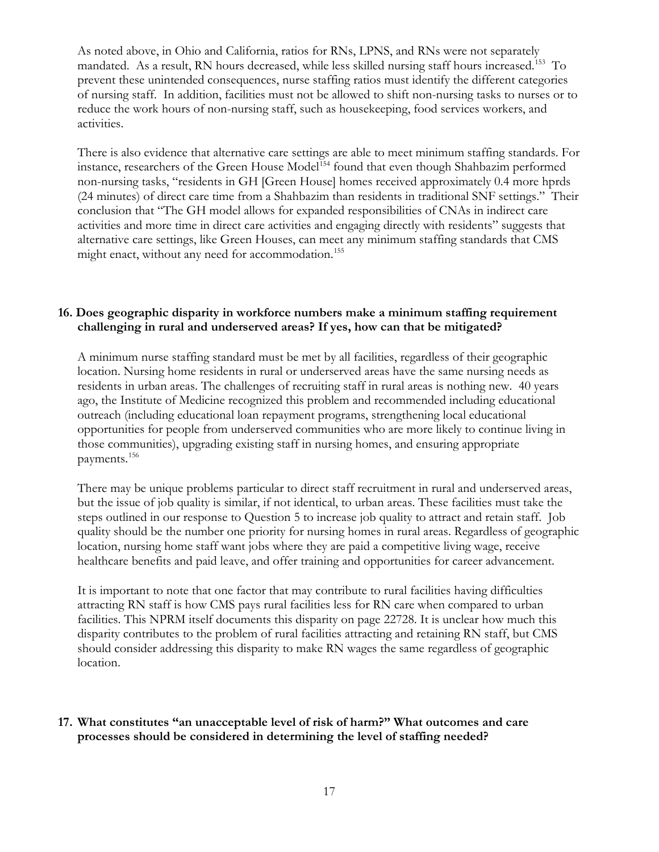As noted above, in Ohio and California, ratios for RNs, LPNS, and RNs were not separately mandated. As a result, RN hours decreased, while less skilled nursing staff hours increased.[153](#page-23-51) To prevent these unintended consequences, nurse staffing ratios must identify the different categories of nursing staff. In addition, facilities must not be allowed to shift non-nursing tasks to nurses or to reduce the work hours of non-nursing staff, such as housekeeping, food services workers, and activities.

There is also evidence that alternative care settings are able to meet minimum staffing standards. For instance, researchers of the Green House Model<sup>[154](#page-23-52)</sup> found that even though Shahbazim performed non-nursing tasks, "residents in GH [Green House] homes received approximately 0.4 more hprds (24 minutes) of direct care time from a Shahbazim than residents in traditional SNF settings." Their conclusion that "The GH model allows for expanded responsibilities of CNAs in indirect care activities and more time in direct care activities and engaging directly with residents" suggests that alternative care settings, like Green Houses, can meet any minimum staffing standards that CMS might enact, without any need for accommodation.<sup>155</sup>

#### **16. Does geographic disparity in workforce numbers make a minimum staffing requirement challenging in rural and underserved areas? If yes, how can that be mitigated?**

A minimum nurse staffing standard must be met by all facilities, regardless of their geographic location. Nursing home residents in rural or underserved areas have the same nursing needs as residents in urban areas. The challenges of recruiting staff in rural areas is nothing new. 40 years ago, the Institute of Medicine recognized this problem and recommended including educational outreach (including educational loan repayment programs, strengthening local educational opportunities for people from underserved communities who are more likely to continue living in those communities), upgrading existing staff in nursing homes, and ensuring appropriate payments[.156](#page-23-54)

There may be unique problems particular to direct staff recruitment in rural and underserved areas, but the issue of job quality is similar, if not identical, to urban areas. These facilities must take the steps outlined in our response to Question 5 to increase job quality to attract and retain staff. Job quality should be the number one priority for nursing homes in rural areas. Regardless of geographic location, nursing home staff want jobs where they are paid a competitive living wage, receive healthcare benefits and paid leave, and offer training and opportunities for career advancement.

It is important to note that one factor that may contribute to rural facilities having difficulties attracting RN staff is how CMS pays rural facilities less for RN care when compared to urban facilities. This NPRM itself documents this disparity on page 22728. It is unclear how much this disparity contributes to the problem of rural facilities attracting and retaining RN staff, but CMS should consider addressing this disparity to make RN wages the same regardless of geographic location.

# **17. What constitutes "an unacceptable level of risk of harm?" What outcomes and care processes should be considered in determining the level of staffing needed?**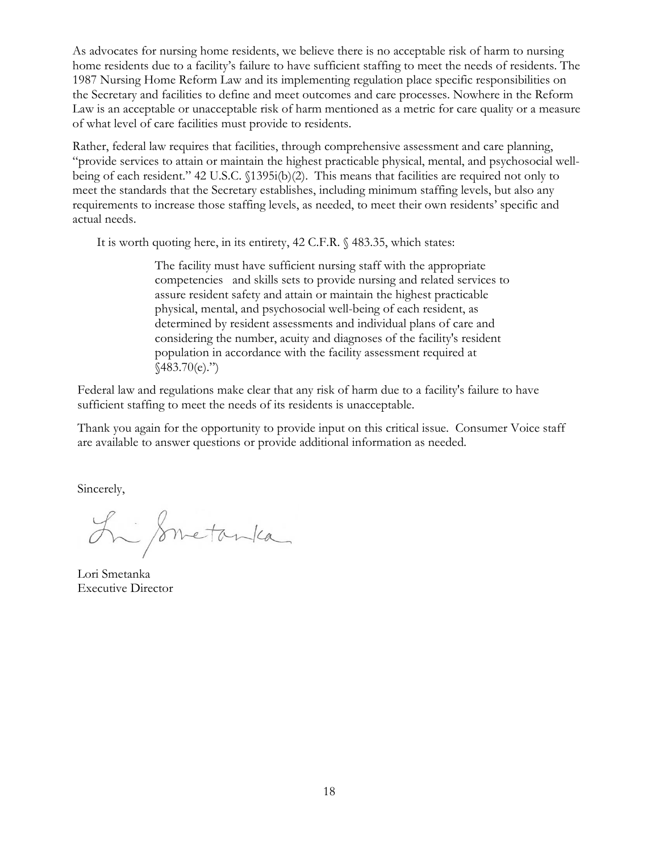As advocates for nursing home residents, we believe there is no acceptable risk of harm to nursing home residents due to a facility's failure to have sufficient staffing to meet the needs of residents. The 1987 Nursing Home Reform Law and its implementing regulation place specific responsibilities on the Secretary and facilities to define and meet outcomes and care processes. Nowhere in the Reform Law is an acceptable or unacceptable risk of harm mentioned as a metric for care quality or a measure of what level of care facilities must provide to residents.

Rather, federal law requires that facilities, through comprehensive assessment and care planning, "provide services to attain or maintain the highest practicable physical, mental, and psychosocial wellbeing of each resident." 42 U.S.C. §1395i(b)(2). This means that facilities are required not only to meet the standards that the Secretary establishes, including minimum staffing levels, but also any requirements to increase those staffing levels, as needed, to meet their own residents' specific and actual needs.

It is worth quoting here, in its entirety, 42 C.F.R. § 483.35, which states:

The facility must have sufficient nursing staff with the appropriate competencies and skills sets to provide nursing and related services to assure resident safety and attain or maintain the highest practicable physical, mental, and psychosocial well-being of each resident, as determined by resident assessments and individual plans of care and considering the number, acuity and diagnoses of the facility's resident population in accordance with the facility assessment required at  $$483.70(e)."$ 

Federal law and regulations make clear that any risk of harm due to a facility's failure to have sufficient staffing to meet the needs of its residents is unacceptable.

Thank you again for the opportunity to provide input on this critical issue. Consumer Voice staff are available to answer questions or provide additional information as needed.

Sincerely,

Li Smetanka

Lori Smetanka Executive Director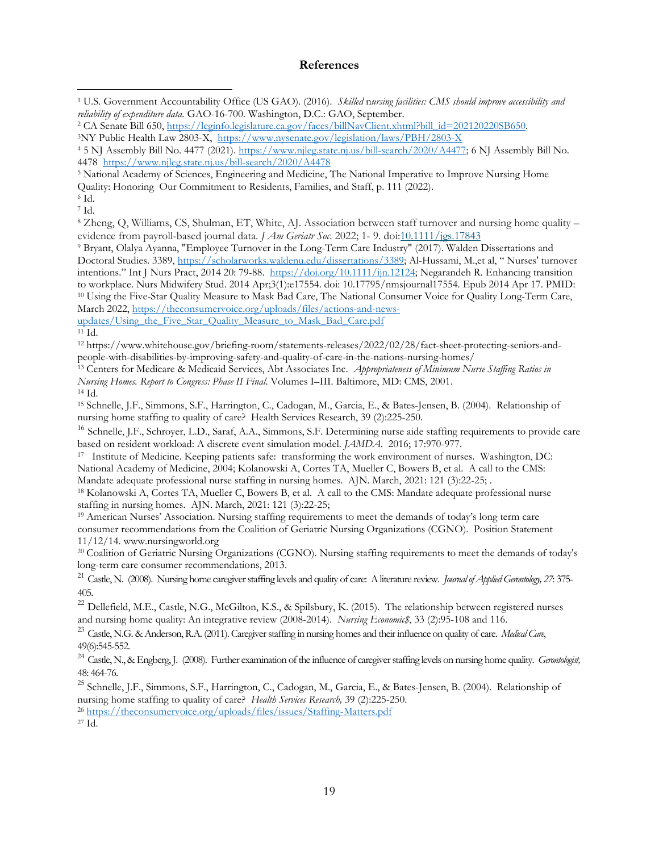#### **References**

<sup>8</sup> Zheng, Q, Williams, CS, Shulman, ET, White, AJ. Association between staff turnover and nursing home quality – evidence from payroll-based journal data. *J Am Geriatr Soc*. 2022; 1- 9. doi[:10.1111/jgs.17843](https://doi.org/10.1111/jgs.17843)

<sup>9</sup> Bryant, Olalya Ayanna, "Employee Turnover in the Long-Term Care Industry" (2017). Walden Dissertations and Doctoral Studies. 3389, [https://scholarworks.waldenu.edu/dissertations/3389;](https://scholarworks.waldenu.edu/dissertations/3389) Al-Hussami, M.,et al, " Nurses' turnover intentions." Int J Nurs Pract, 2014 20: 79-88. [https://doi.org/10.1111/ijn.12124;](https://doi.org/10.1111/ijn.12124) Negarandeh R. Enhancing transition to workplace. Nurs Midwifery Stud. 2014 Apr;3(1):e17554. doi: 10.17795/nmsjournal17554. Epub 2014 Apr 17. PMID: <sup>10</sup> Using the Five-Star Quality Measure to Mask Bad Care, The National Consumer Voice for Quality Long-Term Care, March 2022, [https://theconsumervoice.org/uploads/files/actions-and-news-](https://theconsumervoice.org/uploads/files/actions-and-news-updates/Using_the_Five_Star_Quality_Measure_to_Mask_Bad_Care.pdf)

[updates/Using\\_the\\_Five\\_Star\\_Quality\\_Measure\\_to\\_Mask\\_Bad\\_Care.pdf](https://theconsumervoice.org/uploads/files/actions-and-news-updates/Using_the_Five_Star_Quality_Measure_to_Mask_Bad_Care.pdf)

<sup>12</sup> https://www.whitehouse.gov/briefing-room/statements-releases/2022/02/28/fact-sheet-protecting-seniors-andpeople-with-disabilities-by-improving-safety-and-quality-of-care-in-the-nations-nursing-homes/

<sup>13</sup> Centers for Medicare & Medicaid Services, Abt Associates Inc. *Appropriateness of Minimum Nurse Staffing Ratios in Nursing Homes. Report to Congress: Phase II Final*. Volumes I–III. Baltimore, MD: CMS, 2001. 14 Id.

<sup>15</sup> Schnelle, J.F., Simmons, S.F., Harrington, C., Cadogan, M., Garcia, E., & Bates-Jensen, B. (2004). Relationship of nursing home staffing to quality of care? Health Services Research, 39 (2):225-250.

<sup>16</sup> Schnelle, J.F., Schroyer, L.D., Saraf, A.A., Simmons, S.F. Determining nurse aide staffing requirements to provide care based on resident workload: A discrete event simulation model. *JAMDA*. 2016; 17:970-977.

<sup>17</sup> Institute of Medicine. Keeping patients safe: transforming the work environment of nurses. Washington, DC: National Academy of Medicine, 2004; Kolanowski A, Cortes TA, Mueller C, Bowers B, et al. A call to the CMS: Mandate adequate professional nurse staffing in nursing homes. AJN. March, 2021: 121 (3):22-25; .

<sup>18</sup> Kolanowski A, Cortes TA, Mueller C, Bowers B, et al. A call to the CMS: Mandate adequate professional nurse staffing in nursing homes. AJN. March, 2021: 121 (3):22-25;

<sup>19</sup> American Nurses' Association. Nursing staffing requirements to meet the demands of today's long term care consumer recommendations from the Coalition of Geriatric Nursing Organizations (CGNO). Position Statement 11/12/14. www.nursingworld.org

<sup>20</sup> Coalition of Geriatric Nursing Organizations (CGNO). Nursing staffing requirements to meet the demands of today's long-term care consumer recommendations, 2013.

<sup>21</sup> Castle, N. (2008). Nursing home caregiver staffing levels and quality of care: A literature review. *Journal of Applied Gerontology, 27*: 375- 405.

<sup>22</sup> Dellefield, M.E., Castle, N.G., McGilton, K.S., & Spilsbury, K. (2015). The relationship between registered nurses and nursing home quality: An integrative review (2008-2014). *Nursing Economic\$*, 33 (2):95-108 and 116.

<sup>23</sup> Castle, N.G. & Anderson, R.A. (2011). Caregiver staffing in nursing homes and their influence on quality of care. *Medical Care*, 49(6):545-552.

<sup>24</sup> Castle, N., & Engberg, J. (2008). Further examination of the influence of caregiver staffing levels on nursing home quality. *Gerontologist,*  48: 464-76.

<sup>25</sup> Schnelle, J.F., Simmons, S.F., Harrington, C., Cadogan, M., Garcia, E., & Bates-Jensen, B. (2004). Relationship of nursing home staffing to quality of care? *Health Services Research,* 39 (2):225-250.

<sup>26</sup> [https://theconsumervoice.org/uploads/files/issues/Staffing-Matters.pdf](https://urldefense.com/v3/__https:/theconsumervoice.org/uploads/files/issues/Staffing-Matters.pdf__;!!LQC6Cpwp!sMsP6N3y-Pg0fpp55zWqhLwRqqJr-20EZt1ivRz6ncc-KrTLATzX_q9-kRGstfpbL5HocphLMK1MmXhKIYzaIH-DqHNW2qzs$)

<span id="page-18-0"></span><sup>1</sup> U.S. Government Accountability Office (US GAO). (2016). *Skilled* n*ursing facilities: CMS should improve accessibility and reliability of expenditure data.* GAO-16-700. Washington, D.C.: GAO, September.

<span id="page-18-1"></span><sup>&</sup>lt;sup>2</sup> CA Senate Bill 650, [https://leginfo.legislature.ca.gov/faces/billNavClient.xhtml?bill\\_id=202120220SB650.](https://leginfo.legislature.ca.gov/faces/billNavClient.xhtml?bill_id=202120220SB650) 3NY Public Health Law 2803-X, <https://www.nysenate.gov/legislation/laws/PBH/2803-X>

<span id="page-18-3"></span><span id="page-18-2"></span><sup>4</sup> 5 NJ Assembly Bill No. 4477 (2021). [https://www.njleg.state.nj.us/bill-search/2020/A4477;](https://www.njleg.state.nj.us/bill-search/2020/A4477) 6 NJ Assembly Bill No. 4478 <https://www.njleg.state.nj.us/bill-search/2020/A4478>

<span id="page-18-4"></span><sup>5</sup> National Academy of Sciences, Engineering and Medicine, The National Imperative to Improve Nursing Home

Quality: Honoring Our Commitment to Residents, Families, and Staff, p. 111 (2022). 6 Id.

<span id="page-18-5"></span>

<span id="page-18-6"></span><sup>7</sup> Id.

<sup>11</sup> Id.

<sup>27</sup> Id.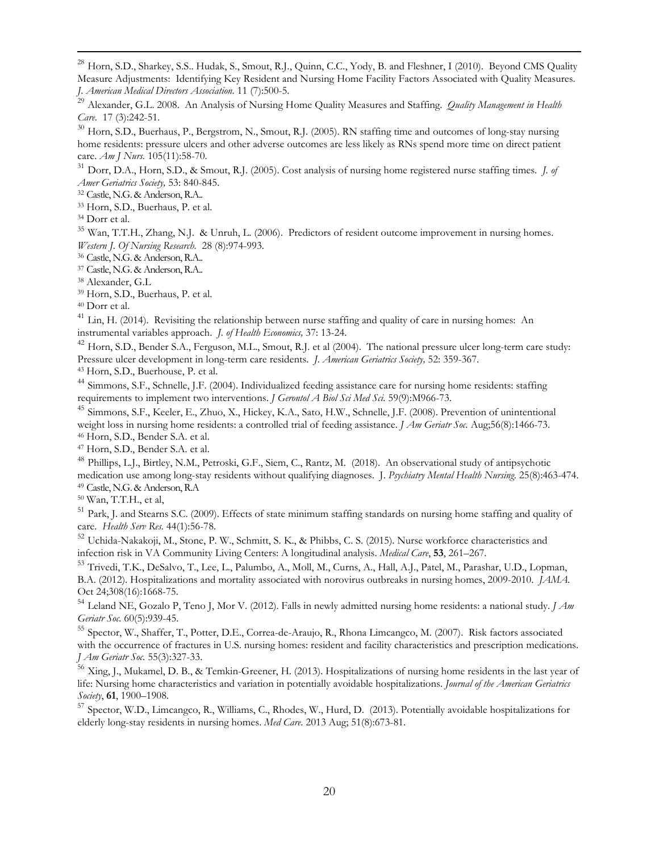<sup>28</sup> Horn, S.D., Sharkey, S.S.. Hudak, S., Smout, R.J., Quinn, C.C., Yody, B. and Fleshner, I (2010). Beyond CMS Quality Measure Adjustments: Identifying Key Resident and Nursing Home Facility Factors Associated with Quality Measures. *J. American Medical Directors Association.* 11 (7):500-5.

<sup>29</sup> Alexander, G.L. 2008. An Analysis of Nursing Home Quality Measures and Staffing. *Quality Management in Health Care.* 17 (3):242-51.

<sup>30</sup> [Horn, S.D.](https://www-ncbi-nlm-nih-gov.ucsf.idm.oclc.org/pubmed/?term=Horn%20SD%5BAuthor%5D&cauthor=true&cauthor_uid=16264305), [Buerhaus, P.,](https://www-ncbi-nlm-nih-gov.ucsf.idm.oclc.org/pubmed/?term=Buerhaus%20P%5BAuthor%5D&cauthor=true&cauthor_uid=16264305) [Bergstrom, N.,](https://www-ncbi-nlm-nih-gov.ucsf.idm.oclc.org/pubmed/?term=Bergstrom%20N%5BAuthor%5D&cauthor=true&cauthor_uid=16264305) [Smout, R.J.](https://www-ncbi-nlm-nih-gov.ucsf.idm.oclc.org/pubmed/?term=Smout%20RJ%5BAuthor%5D&cauthor=true&cauthor_uid=16264305) (2005). RN staffing time and outcomes of long-stay nursing home residents: pressure ulcers and other adverse outcomes are less likely as RNs spend more time on direct patient care. *[Am J Nurs.](https://www-ncbi-nlm-nih-gov.ucsf.idm.oclc.org/pubmed/?term=horn+sd+and+buerhaus+p)* 105(11):58-70.

<sup>31</sup> Dorr, D.A., Horn, S.D., & Smout, R.J. (2005). Cost analysis of nursing home registered nurse staffing times. *J. of Amer Geriatrics Society,* 53: 840-845.

<sup>32</sup> Castle, N.G. & Anderson, R.A..

<sup>33</sup> [Horn, S.D.](https://www-ncbi-nlm-nih-gov.ucsf.idm.oclc.org/pubmed/?term=Horn%20SD%5BAuthor%5D&cauthor=true&cauthor_uid=16264305), [Buerhaus, P.](https://www-ncbi-nlm-nih-gov.ucsf.idm.oclc.org/pubmed/?term=Buerhaus%20P%5BAuthor%5D&cauthor=true&cauthor_uid=16264305) et al.

<span id="page-19-0"></span><sup>34</sup> Dorr et al.

<span id="page-19-1"></span><sup>35</sup> Wan, T.T.H., Zhang, N.J. & Unruh, L. (2006). Predictors of resident outcome improvement in nursing homes. *Western J. Of Nursing Research.* 28 (8):974-993. 36 Castle, N.G. & Anderson, R.A..

<sup>37</sup> Castle, N.G. & Anderson, R.A..

<sup>38</sup> Alexander, G.L

<span id="page-19-2"></span><sup>39</sup> [Horn, S.D.](https://www-ncbi-nlm-nih-gov.ucsf.idm.oclc.org/pubmed/?term=Horn%20SD%5BAuthor%5D&cauthor=true&cauthor_uid=16264305), [Buerhaus, P.](https://www-ncbi-nlm-nih-gov.ucsf.idm.oclc.org/pubmed/?term=Buerhaus%20P%5BAuthor%5D&cauthor=true&cauthor_uid=16264305) et al.

<sup>40</sup> Dorr et al.

<sup>41</sup> Lin, H. (2014). Revisiting the relationship between nurse staffing and quality of care in nursing homes: An instrumental variables approach. *J. of Health Economics,* 37: 13-24.

<span id="page-19-4"></span><span id="page-19-3"></span><sup>42</sup> Horn, S.D., Bender S.A., Ferguson, M.L., Smout, R.J. et al (2004). The national pressure ulcer long-term care study: Pressure ulcer development in long-term care residents. *J. American Geriatrics Society,* 52: 359-367. <sup>43</sup> Horn, S.D., Buerhouse, P. et al.

<sup>44</sup> [Simmons, S.F.](https://www-ncbi-nlm-nih-gov.ucsf.idm.oclc.org/pubmed/?term=Simmons%20SF%5BAuthor%5D&cauthor=true&cauthor_uid=15472163), [Schnelle, J.F.](https://www-ncbi-nlm-nih-gov.ucsf.idm.oclc.org/pubmed/?term=Schnelle%20JF%5BAuthor%5D&cauthor=true&cauthor_uid=15472163) (2004). Individualized feeding assistance care for nursing home residents: staffing requirements to implement two interventions. *[J Gerontol A Biol Sci Med Sci.](https://www-ncbi-nlm-nih-gov.ucsf.idm.oclc.org/pubmed/15472163)* 59(9):M966-73.

<sup>45</sup> [Simmons, S.F.](https://www-ncbi-nlm-nih-gov.ucsf.idm.oclc.org/pubmed/?term=Simmons%20SF%5BAuthor%5D&cauthor=true&cauthor_uid=18637983), [Keeler, E.](https://www-ncbi-nlm-nih-gov.ucsf.idm.oclc.org/pubmed/?term=Keeler%20E%5BAuthor%5D&cauthor=true&cauthor_uid=18637983)[, Zhuo, X.](https://www-ncbi-nlm-nih-gov.ucsf.idm.oclc.org/pubmed/?term=Zhuo%20X%5BAuthor%5D&cauthor=true&cauthor_uid=18637983), [Hickey, K.A.,](https://www-ncbi-nlm-nih-gov.ucsf.idm.oclc.org/pubmed/?term=Hickey%20KA%5BAuthor%5D&cauthor=true&cauthor_uid=18637983) [Sato, H.W.](https://www-ncbi-nlm-nih-gov.ucsf.idm.oclc.org/pubmed/?term=Sato%20HW%5BAuthor%5D&cauthor=true&cauthor_uid=18637983), [Schnelle, J.F.](https://www-ncbi-nlm-nih-gov.ucsf.idm.oclc.org/pubmed/?term=Schnelle%20JF%5BAuthor%5D&cauthor=true&cauthor_uid=18637983) (2008). Prevention of unintentional weight loss in nursing home residents: a controlled trial of feeding assistance. *[J Am Geriatr Soc.](https://www-ncbi-nlm-nih-gov.ucsf.idm.oclc.org/pubmed/18637983)* Aug;56(8):1466-73. <sup>46</sup> Horn, S.D., Bender S.A. et al.

<sup>47</sup> Horn, S.D., Bender S.A. et al.

<sup>48</sup> Phillips, L.J., Birtley, N.M., Petroski, G.F., Siem, C., Rantz, M. (2018). An observational study of antipsychotic medication use among long-stay residents without qualifying diagnoses. J. *Psychiatry Mental Health Nursing.* 25(8):463-474. <sup>49</sup> Castle, N.G. & Anderson, R.A

<sup>50</sup> Wan, T.T.H., et al,

 $<sup>51</sup>$  [Park, J.](https://www-ncbi-nlm-nih-gov.ucsf.idm.oclc.org/pubmed/?term=Park%20J%5BAuthor%5D&cauthor=true&cauthor_uid=18823448) an[d Stearns S.C.](https://www-ncbi-nlm-nih-gov.ucsf.idm.oclc.org/pubmed/?term=Stearns%20SC%5BAuthor%5D&cauthor=true&cauthor_uid=18823448) (2009). Effects of state minimum staffing standards on nursing home staffing and quality of</sup> care. *[Health Serv Res.](https://www-ncbi-nlm-nih-gov.ucsf.idm.oclc.org/pubmed/18823448)* 44(1):56-78.

<sup>52</sup> Uchida-Nakakoji, M., Stone, P. W., Schmitt, S. K., & Phibbs, C. S. (2015). Nurse workforce characteristics and infection risk in VA Community Living Centers: A longitudinal analysis. *Medical Care*, **53**, 261–267.

<sup>53</sup> [Trivedi, T.K.,](https://www-ncbi-nlm-nih-gov.ucsf.idm.oclc.org/pubmed/?term=Trivedi%20TK%5BAuthor%5D&cauthor=true&cauthor_uid=23079758) [DeSalvo, T.,](https://www-ncbi-nlm-nih-gov.ucsf.idm.oclc.org/pubmed/?term=DeSalvo%20T%5BAuthor%5D&cauthor=true&cauthor_uid=23079758) [Lee, L.,](https://www-ncbi-nlm-nih-gov.ucsf.idm.oclc.org/pubmed/?term=Lee%20L%5BAuthor%5D&cauthor=true&cauthor_uid=23079758) [Palumbo, A.,](https://www-ncbi-nlm-nih-gov.ucsf.idm.oclc.org/pubmed/?term=Palumbo%20A%5BAuthor%5D&cauthor=true&cauthor_uid=23079758) [Moll, M.,](https://www-ncbi-nlm-nih-gov.ucsf.idm.oclc.org/pubmed/?term=Moll%20M%5BAuthor%5D&cauthor=true&cauthor_uid=23079758) [Curns, A.,](https://www-ncbi-nlm-nih-gov.ucsf.idm.oclc.org/pubmed/?term=Curns%20A%5BAuthor%5D&cauthor=true&cauthor_uid=23079758) [Hall, A.J.,](https://www-ncbi-nlm-nih-gov.ucsf.idm.oclc.org/pubmed/?term=Hall%20AJ%5BAuthor%5D&cauthor=true&cauthor_uid=23079758) [Patel, M.,](https://www-ncbi-nlm-nih-gov.ucsf.idm.oclc.org/pubmed/?term=Patel%20M%5BAuthor%5D&cauthor=true&cauthor_uid=23079758) [Parashar, U.D.,](https://www-ncbi-nlm-nih-gov.ucsf.idm.oclc.org/pubmed/?term=Parashar%20UD%5BAuthor%5D&cauthor=true&cauthor_uid=23079758) [Lopman,](https://www-ncbi-nlm-nih-gov.ucsf.idm.oclc.org/pubmed/?term=Lopman%20BA%5BAuthor%5D&cauthor=true&cauthor_uid=23079758)  [B.A.](https://www-ncbi-nlm-nih-gov.ucsf.idm.oclc.org/pubmed/?term=Lopman%20BA%5BAuthor%5D&cauthor=true&cauthor_uid=23079758) (2012). Hospitalizations and mortality associated with norovirus outbreaks in nursing homes, 2009-2010. *[JAMA.](https://www-ncbi-nlm-nih-gov.ucsf.idm.oclc.org/pubmed/?term=triveda+DeSalvo)* Oct 24;308(16):1668-75.

<sup>54</sup> [Leland NE,](https://www-ncbi-nlm-nih-gov.ucsf.idm.oclc.org/pubmed/?term=Leland%20NE%5BAuthor%5D&cauthor=true&cauthor_uid=22587857) [Gozalo P,](https://www-ncbi-nlm-nih-gov.ucsf.idm.oclc.org/pubmed/?term=Gozalo%20P%5BAuthor%5D&cauthor=true&cauthor_uid=22587857) [Teno J,](https://www-ncbi-nlm-nih-gov.ucsf.idm.oclc.org/pubmed/?term=Teno%20J%5BAuthor%5D&cauthor=true&cauthor_uid=22587857) [Mor V.](https://www-ncbi-nlm-nih-gov.ucsf.idm.oclc.org/pubmed/?term=Mor%20V%5BAuthor%5D&cauthor=true&cauthor_uid=22587857) (2012). Falls in newly admitted nursing home residents: a national study. *[J Am](https://www-ncbi-nlm-nih-gov.ucsf.idm.oclc.org/pubmed/22587857)  [Geriatr Soc.](https://www-ncbi-nlm-nih-gov.ucsf.idm.oclc.org/pubmed/22587857)* 60(5):939-45.

<sup>55</sup> [Spector, W.,](https://www-ncbi-nlm-nih-gov.ucsf.idm.oclc.org/pubmed/?term=Spector%20W%5BAuthor%5D&cauthor=true&cauthor_uid=17341233) [Shaffer, T.,](https://www-ncbi-nlm-nih-gov.ucsf.idm.oclc.org/pubmed/?term=Shaffer%20T%5BAuthor%5D&cauthor=true&cauthor_uid=17341233) [Potter, D.E.,](https://www-ncbi-nlm-nih-gov.ucsf.idm.oclc.org/pubmed/?term=Potter%20DE%5BAuthor%5D&cauthor=true&cauthor_uid=17341233) [Correa-de-Araujo, R.,](https://www-ncbi-nlm-nih-gov.ucsf.idm.oclc.org/pubmed/?term=Correa-de-Araujo%20R%5BAuthor%5D&cauthor=true&cauthor_uid=17341233) [Rhona Limcangco, M.](https://www-ncbi-nlm-nih-gov.ucsf.idm.oclc.org/pubmed/?term=Rhona%20Limcangco%20M%5BAuthor%5D&cauthor=true&cauthor_uid=17341233) (2007). Risk factors associated with the occurrence of fractures in U.S. nursing homes: resident and facility characteristics and prescription medications. *[J Am Geriatr Soc.](https://www-ncbi-nlm-nih-gov.ucsf.idm.oclc.org/pubmed/17341233)* 55(3):327-33.

<sup>56</sup> Xing, J., Mukamel, D. B., & Temkin-Greener, H. (2013). Hospitalizations of nursing home residents in the last year of life: Nursing home characteristics and variation in potentially avoidable hospitalizations. *Journal of the American Geriatrics Society*, **61**, 1900–1908.

<sup>57</sup> [Spector, W.D.,](https://www-ncbi-nlm-nih-gov.ucsf.idm.oclc.org/pubmed/?term=Spector%20WD%5BAuthor%5D&cauthor=true&cauthor_uid=23703648) [Limcangco, R.](https://www-ncbi-nlm-nih-gov.ucsf.idm.oclc.org/pubmed/?term=Limcangco%20R%5BAuthor%5D&cauthor=true&cauthor_uid=23703648), [Williams, C.,](https://www-ncbi-nlm-nih-gov.ucsf.idm.oclc.org/pubmed/?term=Williams%20C%5BAuthor%5D&cauthor=true&cauthor_uid=23703648) [Rhodes, W.](https://www-ncbi-nlm-nih-gov.ucsf.idm.oclc.org/pubmed/?term=Rhodes%20W%5BAuthor%5D&cauthor=true&cauthor_uid=23703648), [Hurd, D.](https://www-ncbi-nlm-nih-gov.ucsf.idm.oclc.org/pubmed/?term=Hurd%20D%5BAuthor%5D&cauthor=true&cauthor_uid=23703648) (2013). Potentially avoidable hospitalizations for elderly long-stay residents in nursing homes. *[Med Care.](https://www-ncbi-nlm-nih-gov.ucsf.idm.oclc.org/pubmed/23703648)* 2013 Aug; 51(8):673-81.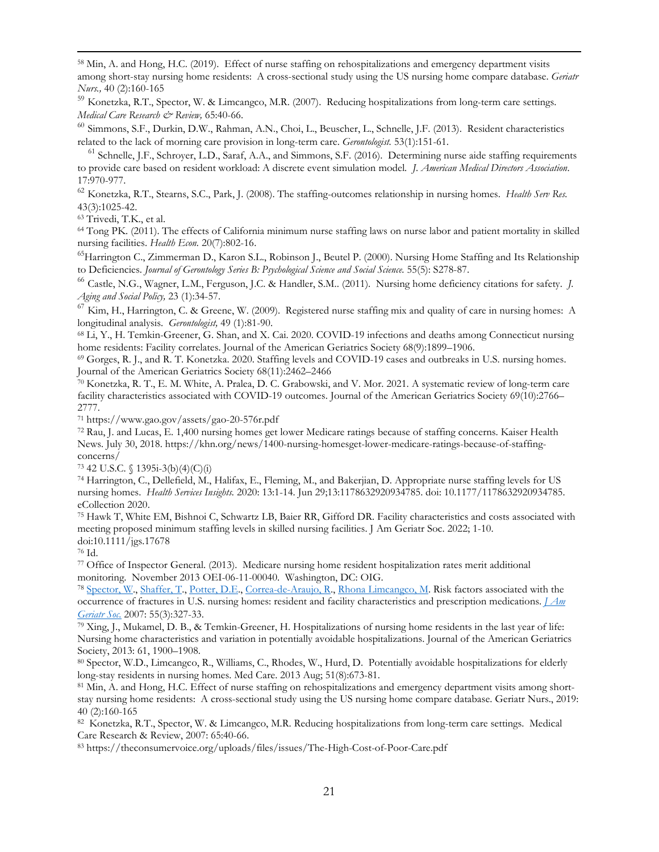<span id="page-20-45"></span><span id="page-20-16"></span><sup>59</sup> Konetzka, R.T., Spector, W. & Limcangco, M.R. (2007). Reducing hospitalizations from long-term care settings. *Medical Care Research & Review,* 65:40-66.

<span id="page-20-46"></span><span id="page-20-17"></span><sup>60</sup> [Simmons, S.F.](https://www-ncbi-nlm-nih-gov.ucsf.idm.oclc.org/pubmed/?term=Simmons%20SF%5BAuthor%5D&cauthor=true&cauthor_uid=22565494), [Durkin, D.W.,](https://www-ncbi-nlm-nih-gov.ucsf.idm.oclc.org/pubmed/?term=Durkin%20DW%5BAuthor%5D&cauthor=true&cauthor_uid=22565494) [Rahman, A.N.](https://www-ncbi-nlm-nih-gov.ucsf.idm.oclc.org/pubmed/?term=Rahman%20AN%5BAuthor%5D&cauthor=true&cauthor_uid=22565494), [Choi, L.](https://www-ncbi-nlm-nih-gov.ucsf.idm.oclc.org/pubmed/?term=Choi%20L%5BAuthor%5D&cauthor=true&cauthor_uid=22565494), [Beuscher, L.](https://www-ncbi-nlm-nih-gov.ucsf.idm.oclc.org/pubmed/?term=Beuscher%20L%5BAuthor%5D&cauthor=true&cauthor_uid=22565494), [Schnelle, J.F.](https://www-ncbi-nlm-nih-gov.ucsf.idm.oclc.org/pubmed/?term=Schnelle%20JF%5BAuthor%5D&cauthor=true&cauthor_uid=22565494) (2013). Resident characteristics related to the lack of morning care provision in long-term care. *[Gerontologist.](https://www-ncbi-nlm-nih-gov.ucsf.idm.oclc.org/pubmed/22565494)* 53(1):151-61.

<span id="page-20-47"></span><span id="page-20-18"></span> $<sup>61</sup>$  Schnelle, J.F., Schroyer, L.D., Saraf, A.A., and Simmons, S.F. (2016). Determining nurse aide staffing requirements</sup> to provide care based on resident workload: A discrete event simulation model*. J. American Medical Directors Association*. 17:970-977.

<span id="page-20-48"></span><span id="page-20-20"></span><span id="page-20-19"></span><sup>62</sup> [Konetzka, R.T.,](https://www-ncbi-nlm-nih-gov.ucsf.idm.oclc.org/pubmed/?term=Konetzka%20RT%5BAuthor%5D&cauthor=true&cauthor_uid=18454779) [Stearns, S.C.,](https://www-ncbi-nlm-nih-gov.ucsf.idm.oclc.org/pubmed/?term=Stearns%20SC%5BAuthor%5D&cauthor=true&cauthor_uid=18454779) [Park, J.](https://www-ncbi-nlm-nih-gov.ucsf.idm.oclc.org/pubmed/?term=Park%20J%5BAuthor%5D&cauthor=true&cauthor_uid=18454779) (2008). The staffing-outcomes relationship in nursing homes. *[Health Serv Res.](https://www-ncbi-nlm-nih-gov.ucsf.idm.oclc.org/pubmed/18454779)* 43(3):1025-42. 63 [Trivedi, T.K.,](https://www-ncbi-nlm-nih-gov.ucsf.idm.oclc.org/pubmed/?term=Trivedi%20TK%5BAuthor%5D&cauthor=true&cauthor_uid=23079758) et al.

<span id="page-20-22"></span><span id="page-20-21"></span><sup>64</sup> [Tong PK.](https://www-ncbi-nlm-nih-gov.ucsf.idm.oclc.org/pubmed/?term=Tong%20PK%5BAuthor%5D&cauthor=true&cauthor_uid=20672247) (2011). The effects of California minimum nurse staffing laws on nurse labor and patient mortality in skilled nursing facilities. *[Health Econ.](https://www-ncbi-nlm-nih-gov.ucsf.idm.oclc.org/pubmed/?term=Tong+PK+2011)* 20(7):802-16.

<span id="page-20-49"></span><span id="page-20-23"></span><sup>65</sup>Harrington C., Zimmerman D., Karon S.L., Robinson J., Beutel P. (2000). Nursing Home Staffing and Its Relationship to Deficiencies. *Journal of Gerontology Series B: Psychological Science and Social Science.* 55(5): S278-87.

<span id="page-20-26"></span><span id="page-20-25"></span><span id="page-20-24"></span><sup>66</sup> Castle, N.G., Wagner, L.M., Ferguson, J.C. & Handler, S.M.. (2011). Nursing home deficiency citations for safety. *J. Aging and Social Policy,* 23 (1):34-57.

<span id="page-20-50"></span><span id="page-20-28"></span><span id="page-20-27"></span> $^{67}$  Kim, H., Harrington, C. & Greene, W. (2009). Registered nurse staffing mix and quality of care in nursing homes: A longitudinal analysis. *Gerontologist*, 49 (1):81-90.<br><sup>68</sup> Li, Y., H. Temkin-Greener, G. Shan, and X. Cai. 2020. COVID-19 infections and deaths among Connecticut nursing

<span id="page-20-51"></span><span id="page-20-29"></span>home residents: Facility correlates. Journal of the American Geriatrics Society 68(9):1899–1906.

<span id="page-20-52"></span><span id="page-20-30"></span><span id="page-20-0"></span><sup>69</sup> Gorges, R. J., and R. T. Konetzka. 2020. Staffing levels and COVID-19 cases and outbreaks in U.S. nursing homes. Journal of the American Geriatrics Society 68(11):2462–2466

<span id="page-20-31"></span><span id="page-20-1"></span><sup>70</sup> Konetzka, R. T., E. M. White, A. Pralea, D. C. Grabowski, and V. Mor. 2021. A systematic review of long-term care facility characteristics associated with COVID-19 outcomes. Journal of the American Geriatrics Society 69(10):2766– 2777.

<span id="page-20-53"></span><span id="page-20-32"></span><span id="page-20-2"></span><sup>71</sup> https://www.gao.gov/assets/gao-20-576r.pdf

<span id="page-20-54"></span><span id="page-20-34"></span><span id="page-20-33"></span><span id="page-20-3"></span><sup>72</sup> Rau, J. and Lucas, E. 1,400 nursing homes get lower Medicare ratings because of staffing concerns. Kaiser Health News. July 30, 2018. https://khn.org/news/1400-nursing-homesget-lower-medicare-ratings-because-of-staffingconcerns/

<span id="page-20-35"></span><span id="page-20-4"></span><sup>73</sup> 42 U.S.C. § 1395i-3(b)(4)(C)(i)

<span id="page-20-37"></span><span id="page-20-36"></span><span id="page-20-5"></span><sup>74</sup> Harrington, C., Dellefield, M., Halifax, E., Fleming, M., and Bakerjian, D. Appropriate nurse staffing levels for US nursing homes. *Health Services Insights.* 2020: 13:1-14. Jun 29;13:1178632920934785. doi: 10.1177/1178632920934785. eCollection 2020.<br><sup>75</sup> Hawk T, White EM, Bishnoi C, Schwartz LB, Baier RR, Gifford DR. Facility characteristics and costs associated with

<span id="page-20-38"></span><span id="page-20-6"></span>meeting proposed minimum staffing levels in skilled nursing facilities. J Am Geriatr Soc. 2022; 1-10. doi:10.1111/jgs.17678

<span id="page-20-39"></span><span id="page-20-7"></span><sup>76</sup> Id.

<span id="page-20-40"></span><span id="page-20-8"></span><sup>77</sup> Office of Inspector General. (2013). Medicare nursing home resident hospitalization rates merit additional monitoring. November 2013 OEI-06-11-00040. Washington, DC: OIG.

<span id="page-20-41"></span><span id="page-20-9"></span><sup>78</sup> [Spector, W.,](https://www-ncbi-nlm-nih-gov.ucsf.idm.oclc.org/pubmed/?term=Spector%20W%5BAuthor%5D&cauthor=true&cauthor_uid=17341233) [Shaffer, T.,](https://www-ncbi-nlm-nih-gov.ucsf.idm.oclc.org/pubmed/?term=Shaffer%20T%5BAuthor%5D&cauthor=true&cauthor_uid=17341233) [Potter, D.E.,](https://www-ncbi-nlm-nih-gov.ucsf.idm.oclc.org/pubmed/?term=Potter%20DE%5BAuthor%5D&cauthor=true&cauthor_uid=17341233) [Correa-de-Araujo, R.,](https://www-ncbi-nlm-nih-gov.ucsf.idm.oclc.org/pubmed/?term=Correa-de-Araujo%20R%5BAuthor%5D&cauthor=true&cauthor_uid=17341233) [Rhona Limcangco, M.](https://www-ncbi-nlm-nih-gov.ucsf.idm.oclc.org/pubmed/?term=Rhona%20Limcangco%20M%5BAuthor%5D&cauthor=true&cauthor_uid=17341233) Risk factors associated with the occurrence of fractures in U.S. nursing homes: resident and facility characteristics and prescription medications. *[J Am](https://www-ncbi-nlm-nih-gov.ucsf.idm.oclc.org/pubmed/17341233)  [Geriatr Soc.](https://www-ncbi-nlm-nih-gov.ucsf.idm.oclc.org/pubmed/17341233)* 2007: 55(3):327-33.

<span id="page-20-42"></span><span id="page-20-10"></span> $79$  Xing, J., Mukamel, D. B., & Temkin-Greener, H. Hospitalizations of nursing home residents in the last year of life: Nursing home characteristics and variation in potentially avoidable hospitalizations. Journal of the American Geriatrics Society, 2013: 61, 1900–1908.

<span id="page-20-43"></span><span id="page-20-11"></span><sup>80</sup> Spector, W.D., Limcangco, R., Williams, C., Rhodes, W., Hurd, D. Potentially avoidable hospitalizations for elderly long-stay residents in nursing homes. Med Care. 2013 Aug; 51(8):673-81.

<span id="page-20-12"></span>81 Min, A. and Hong, H.C. Effect of nurse staffing on rehospitalizations and emergency department visits among shortstay nursing home residents: A cross-sectional study using the US nursing home compare database. Geriatr Nurs., 2019: 40 (2):160-165

<span id="page-20-44"></span><span id="page-20-14"></span><span id="page-20-13"></span><sup>82</sup> Konetzka, R.T., Spector, W. & Limcangco, M.R. Reducing hospitalizations from long-term care settings. Medical Care Research & Review, 2007: 65:40-66.

<sup>83</sup> https://theconsumervoice.org/uploads/files/issues/The-High-Cost-of-Poor-Care.pdf

<span id="page-20-15"></span><sup>58</sup> Min, A. and Hong, H.C. (2019). Effect of nurse staffing on rehospitalizations and emergency department visits among short-stay nursing home residents: A cross-sectional study using the US nursing home compare database. *Geriatr Nurs.,* 40 (2):160-165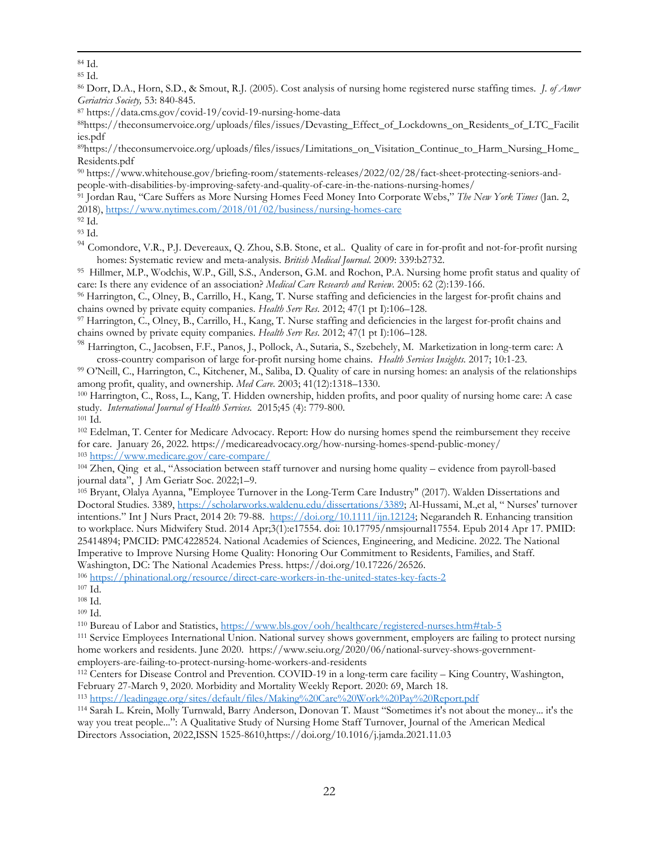<sup>85</sup> Id.

<sup>86</sup> Dorr, D.A., Horn, S.D., & Smout, R.J. (2005). Cost analysis of nursing home registered nurse staffing times. *J. of Amer Geriatrics Society,* 53: 840-845.

<sup>87</sup> https://data.cms.gov/covid-19/covid-19-nursing-home-data

88https://theconsumervoice.org/uploads/files/issues/Devasting\_Effect\_of\_Lockdowns\_on\_Residents\_of\_LTC\_Facilit ies.pdf

<sup>89</sup>https://theconsumervoice.org/uploads/files/issues/Limitations\_on\_Visitation\_Continue\_to\_Harm\_Nursing\_Home Residents.pdf

<sup>90</sup> https://www.whitehouse.gov/briefing-room/statements-releases/2022/02/28/fact-sheet-protecting-seniors-andpeople-with-disabilities-by-improving-safety-and-quality-of-care-in-the-nations-nursing-homes/

<sup>91</sup> Jordan Rau, "Care Suffers as More Nursing Homes Feed Money Into Corporate Webs," *The New York Times* (Jan. 2, 2018),<https://www.nytimes.com/2018/01/02/business/nursing-homes-care>

<sup>92</sup> Id.

<sup>93</sup> Id.

<sup>94</sup> Comondore, V.R., P.J. Devereaux, Q. Zhou, S.B. Stone, et al.. Quality of care in for-profit and not-for-profit nursing homes: Systematic review and meta-analysis. *British Medical Journal*. 2009: 339:b2732.

<sup>95</sup> Hillmer, M.P., Wodchis, W.P., Gill, S.S., Anderson, G.M. and Rochon, P.A. Nursing home profit status and quality of care: Is there any evidence of an association? *Medical Care Research and Review.* 2005: 62 (2):139-166.

<sup>96</sup> Harrington, C., Olney, B., Carrillo, H., Kang, T. Nurse staffing and deficiencies in the largest for-profit chains and chains owned by private equity companies. *Health Serv Res*. 2012; 47(1 pt I):106–128.

<sup>97</sup> Harrington, C., Olney, B., Carrillo, H., Kang, T. Nurse staffing and deficiencies in the largest for-profit chains and chains owned by private equity companies. *Health Serv Res*. 2012; 47(1 pt I):106–128.

<sup>98</sup> Harrington, C., Jacobsen, F.F., Panos, J., Pollock, A., Sutaria, S., Szebehely, M. Marketization in long-term care: A cross-country comparison of large for-profit nursing home chains. *Health Services Insights.* 2017; 10:1-23.

<sup>99</sup> O'Neill, C., Harrington, C., Kitchener, M., Saliba, D. Quality of care in nursing homes: an analysis of the relationships among profit, quality, and ownership. *Med Care*. 2003; 41(12):1318–1330.

<sup>100</sup> Harrington, C., Ross, L., Kang, T. Hidden ownership, hidden profits, and poor quality of nursing home care: A case study. *International Journal of Health Services.* 2015;45 (4): 779-800.<br><sup>101</sup> Id.

<sup>102</sup> Edelman, T. Center for Medicare Advocacy. Report: How do nursing homes spend the reimbursement they receive for care. January 26, 2022. https://medicareadvocacy.org/how-nursing-homes-spend-public-money/ <sup>103</sup> <https://www.medicare.gov/care-compare/>

<span id="page-21-0"></span><sup>104</sup> Zhen, Qing et al., "Association between staff turnover and nursing home quality – evidence from payroll-based journal data", J Am Geriatr Soc. 2022;1–9.

<span id="page-21-2"></span><span id="page-21-1"></span><sup>105</sup> Bryant, Olalya Ayanna, "Employee Turnover in the Long-Term Care Industry" (2017). Walden Dissertations and Doctoral Studies. 3389, [https://scholarworks.waldenu.edu/dissertations/3389;](https://scholarworks.waldenu.edu/dissertations/3389) Al-Hussami, M.,et al, " Nurses' turnover intentions." Int J Nurs Pract, 2014 20: 79-88. [https://doi.org/10.1111/ijn.12124;](https://doi.org/10.1111/ijn.12124) Negarandeh R. Enhancing transition to workplace. Nurs Midwifery Stud. 2014 Apr;3(1):e17554. doi: 10.17795/nmsjournal17554. Epub 2014 Apr 17. PMID: 25414894; PMCID: PMC4228524. National Academies of Sciences, Engineering, and Medicine. 2022. The National Imperative to Improve Nursing Home Quality: Honoring Our Commitment to Residents, Families, and Staff. Washington, DC: The National Academies Press. https://doi.org/10.17226/26526.

<sup>106</sup> <https://phinational.org/resource/direct-care-workers-in-the-united-states-key-facts-2>

<sup>108</sup> Id. <sup>109</sup> Id.

110 Bureau of Labor and Statistics,<https://www.bls.gov/ooh/healthcare/registered-nurses.htm#tab-5>

<sup>111</sup> Service Employees International Union. National survey shows government, employers are failing to protect nursing home workers and residents. June 2020. https://www.seiu.org/2020/06/national-survey-shows-governmentemployers-are-failing-to-protect-nursing-home-workers-and-residents

<sup>112</sup> Centers for Disease Control and Prevention. COVID-19 in a long-term care facility – King Country, Washington, February 27-March 9, 2020. Morbidity and Mortality Weekly Report. 2020: 69, March 18.

<sup>113</sup> <https://leadingage.org/sites/default/files/Making%20Care%20Work%20Pay%20Report.pdf>

<sup>114</sup> Sarah L. Krein, Molly Turnwald, Barry Anderson, Donovan T. Maust "Sometimes it's not about the money... it's the way you treat people...": A Qualitative Study of Nursing Home Staff Turnover, Journal of the American Medical Directors Association, 2022,ISSN 1525-8610,https://doi.org/10.1016/j.jamda.2021.11.03

<sup>84</sup> Id.

<sup>107</sup> Id.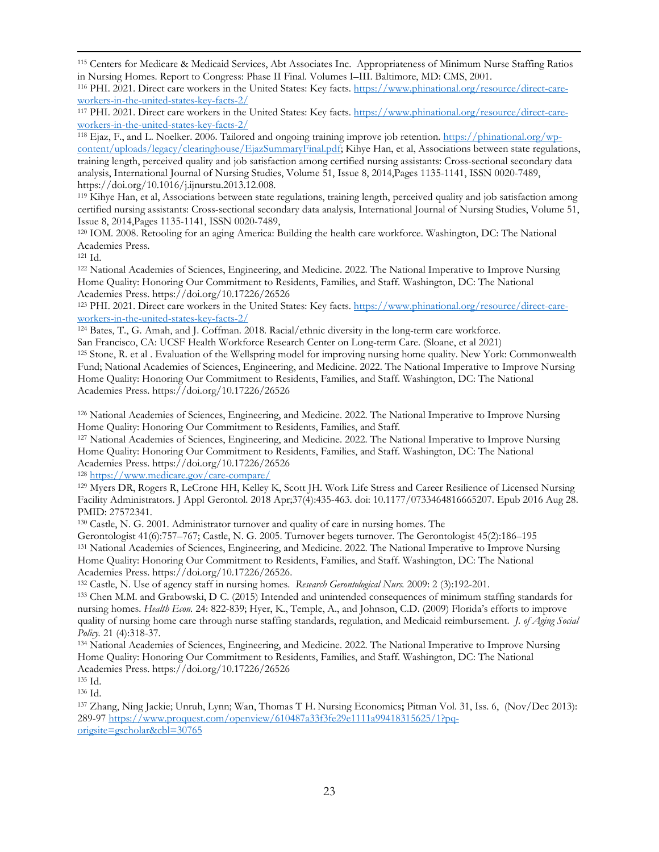<span id="page-22-13"></span><span id="page-22-12"></span><sup>118</sup> Ejaz, F., and L. Noelker. 2006. Tailored and ongoing training improve job retention. [https://phinational.org/wp](https://phinational.org/wp-content/uploads/legacy/clearinghouse/EjazSummaryFinal.pdf)[content/uploads/legacy/clearinghouse/EjazSummaryFinal.pdf;](https://phinational.org/wp-content/uploads/legacy/clearinghouse/EjazSummaryFinal.pdf) Kihye Han, et al, Associations between state regulations, training length, perceived quality and job satisfaction among certified nursing assistants: Cross-sectional secondary data analysis, International Journal of Nursing Studies, Volume 51, Issue 8, 2014,Pages 1135-1141, ISSN 0020-7489, https://doi.org/10.1016/j.ijnurstu.2013.12.008.

<span id="page-22-15"></span><span id="page-22-14"></span><sup>119</sup> Kihye Han, et al, Associations between state regulations, training length, perceived quality and job satisfaction among certified nursing assistants: Cross-sectional secondary data analysis, International Journal of Nursing Studies, Volume 51, Issue 8, 2014,Pages 1135-1141, ISSN 0020-7489,

<sup>120</sup> IOM. 2008. Retooling for an aging America: Building the health care workforce. Washington, DC: The National Academies Press.

<sup>121</sup> Id.

<sup>122</sup> National Academies of Sciences, Engineering, and Medicine. 2022. The National Imperative to Improve Nursing Home Quality: Honoring Our Commitment to Residents, Families, and Staff. Washington, DC: The National Academies Press. https://doi.org/10.17226/26526

<sup>123</sup> PHI. 2021. Direct care workers in the United States: Key facts. [https://www.phinational.org/resource/direct-care](https://www.phinational.org/resource/direct-care-workers-in-the-united-states-key-facts-2/)[workers-in-the-united-states-key-facts-2/](https://www.phinational.org/resource/direct-care-workers-in-the-united-states-key-facts-2/)

<sup>124</sup> Bates, T., G. Amah, and J. Coffman. 2018. Racial/ethnic diversity in the long-term care workforce. San Francisco, CA: UCSF Health Workforce Research Center on Long-term Care. (Sloane, et al 2021)

<sup>125</sup> Stone, R. et al . Evaluation of the Wellspring model for improving nursing home quality. New York: Commonwealth Fund; National Academies of Sciences, Engineering, and Medicine. 2022. The National Imperative to Improve Nursing Home Quality: Honoring Our Commitment to Residents, Families, and Staff. Washington, DC: The National Academies Press. https://doi.org/10.17226/26526

<sup>126</sup> National Academies of Sciences, Engineering, and Medicine. 2022. The National Imperative to Improve Nursing Home Quality: Honoring Our Commitment to Residents, Families, and Staff.

<sup>127</sup> National Academies of Sciences, Engineering, and Medicine. 2022. The National Imperative to Improve Nursing Home Quality: Honoring Our Commitment to Residents, Families, and Staff. Washington, DC: The National Academies Press. https://doi.org/10.17226/26526

<sup>128</sup> <https://www.medicare.gov/care-compare/>

<sup>129</sup> Myers DR, Rogers R, LeCrone HH, Kelley K, Scott JH. Work Life Stress and Career Resilience of Licensed Nursing Facility Administrators. J Appl Gerontol. 2018 Apr;37(4):435-463. doi: 10.1177/0733464816665207. Epub 2016 Aug 28. PMID: 27572341.

<sup>130</sup> Castle, N. G. 2001. Administrator turnover and quality of care in nursing homes. The

<span id="page-22-0"></span>Gerontologist 41(6):757–767; Castle, N. G. 2005. Turnover begets turnover. The Gerontologist 45(2):186–195 <sup>131</sup> National Academies of Sciences, Engineering, and Medicine. 2022. The National Imperative to Improve Nursing Home Quality: Honoring Our Commitment to Residents, Families, and Staff. Washington, DC: The National Academies Press. https://doi.org/10.17226/26526.

<span id="page-22-2"></span><span id="page-22-1"></span><sup>132</sup> Castle, N. Use of agency staff in nursing homes. *Research Gerontological Nurs.* 2009: 2 (3):192-201.

<sup>133</sup> Chen M.M. and Grabowski, D C. (2015) Intended and unintended consequences of minimum staffing standards for nursing homes. *Health Econ.* 24: 822-839; Hyer, K., Temple, A., and Johnson, C.D. (2009) Florida's efforts to improve quality of nursing home care through nurse staffing standards, regulation, and Medicaid reimbursement. *J. of Aging Social Policy.* 21 (4):318-37.

<span id="page-22-4"></span><span id="page-22-3"></span><sup>134</sup> National Academies of Sciences, Engineering, and Medicine. 2022. The National Imperative to Improve Nursing Home Quality: Honoring Our Commitment to Residents, Families, and Staff. Washington, DC: The National Academies Press. https://doi.org/10.17226/26526

<span id="page-22-5"></span><sup>135</sup> Id.

<span id="page-22-7"></span><span id="page-22-6"></span><sup>136</sup> Id. 137 [Zhang, Ning Jackie;](https://www.proquest.com/indexinglinkhandler/sng/au/Zhang,+Ning+Jackie/$N;jsessionid=3610193294A14A7AC25424C0D326D2A4.i-0572d6835284c18b2) [Unruh, Lynn;](https://www.proquest.com/indexinglinkhandler/sng/au/Unruh,+Lynn/$N;jsessionid=3610193294A14A7AC25424C0D326D2A4.i-0572d6835284c18b2) [Wan, Thomas T H.](https://www.proquest.com/indexinglinkhandler/sng/au/Wan,+Thomas+T+H/$N;jsessionid=3610193294A14A7AC25424C0D326D2A4.i-0572d6835284c18b2) [Nursing Economics](https://www.proquest.com/pubidlinkhandler/sng/pubtitle/Nursing+Economics/$N/30765/OpenView/1477880083/$B/B0015A46C1BF4136PQ/1;jsessionid=3610193294A14A7AC25424C0D326D2A4.i-0572d6835284c18b2)**;** Pitman [Vol.](https://www.proquest.com/indexingvolumeissuelinkhandler/30765/Nursing+Economics/02013Y11Y01$23Nov$2fDec+2013$3b++Vol.+31+$286$29/31/6;jsessionid=3610193294A14A7AC25424C0D326D2A4.i-0572d6835284c18b2) 31, Iss. 6, (Nov/Dec 2013): 289-97 [https://www.proquest.com/openview/610487a33f3fe29e1111a99418315625/1?pq](https://www.proquest.com/openview/610487a33f3fe29e1111a99418315625/1?pq-origsite=gscholar&cbl=30765)[origsite=gscholar&cbl=30765](https://www.proquest.com/openview/610487a33f3fe29e1111a99418315625/1?pq-origsite=gscholar&cbl=30765)

<span id="page-22-9"></span><span id="page-22-8"></span><sup>115</sup> Centers for Medicare & Medicaid Services, Abt Associates Inc. Appropriateness of Minimum Nurse Staffing Ratios in Nursing Homes. Report to Congress: Phase II Final. Volumes I–III. Baltimore, MD: CMS, 2001. 116 PHI. 2021. Direct care workers in the United States: Key facts. [https://www.phinational.org/resource/direct-care-](https://www.phinational.org/resource/direct-care-workers-in-the-united-states-key-facts-2/)

<span id="page-22-10"></span>[workers-in-the-united-states-key-facts-2/](https://www.phinational.org/resource/direct-care-workers-in-the-united-states-key-facts-2/)

<span id="page-22-11"></span><sup>117</sup> PHI. 2021. Direct care workers in the United States: Key facts. [https://www.phinational.org/resource/direct-care](https://www.phinational.org/resource/direct-care-workers-in-the-united-states-key-facts-2/)[workers-in-the-united-states-key-facts-2/](https://www.phinational.org/resource/direct-care-workers-in-the-united-states-key-facts-2/)